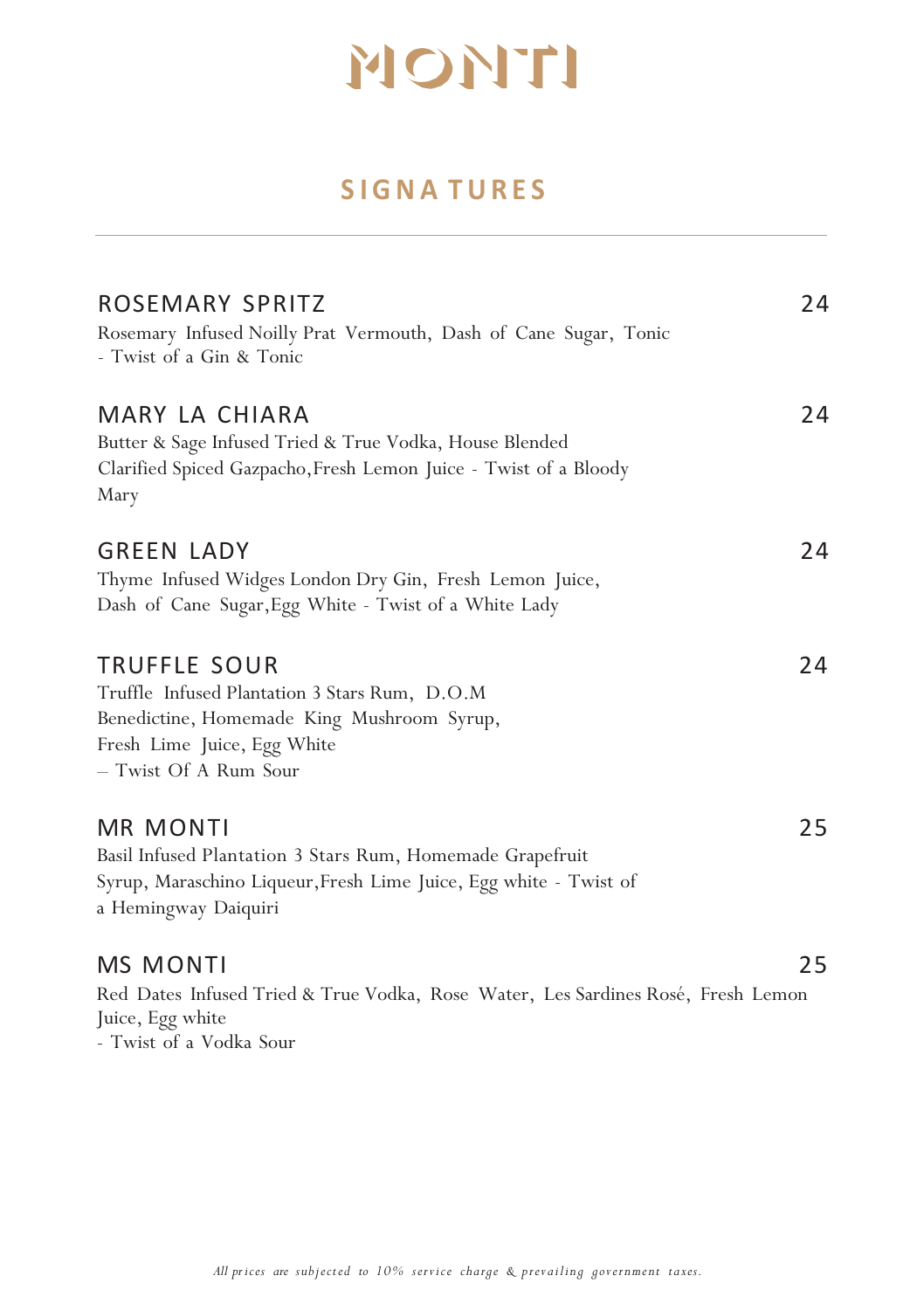### **SIGNA TURES**

| ROSEMARY SPRITZ<br>Rosemary Infused Noilly Prat Vermouth, Dash of Cane Sugar, Tonic<br>- Twist of a Gin & Tonic                                                     | 24 |
|---------------------------------------------------------------------------------------------------------------------------------------------------------------------|----|
| MARY LA CHIARA<br>Butter & Sage Infused Tried & True Vodka, House Blended<br>Clarified Spiced Gazpacho, Fresh Lemon Juice - Twist of a Bloody<br>Mary               | 24 |
| <b>GREEN LADY</b><br>Thyme Infused Widges London Dry Gin, Fresh Lemon Juice,<br>Dash of Cane Sugar, Egg White - Twist of a White Lady                               | 24 |
| TRUFFLE SOUR<br>Truffle Infused Plantation 3 Stars Rum, D.O.M<br>Benedictine, Homemade King Mushroom Syrup,<br>Fresh Lime Juice, Egg White<br>- Twist Of A Rum Sour | 24 |
| MR MONTI<br>Basil Infused Plantation 3 Stars Rum, Homemade Grapefruit<br>Syrup, Maraschino Liqueur, Fresh Lime Juice, Egg white - Twist of<br>a Hemingway Daiquiri  | 25 |
| <b>MS MONTI</b><br>Red Dates Infused Tried & True Vodka, Rose Water, Les Sardines Rosé, Fresh Lemon<br>Juice, Egg white<br>- Twist of a Vodka Sour                  | 25 |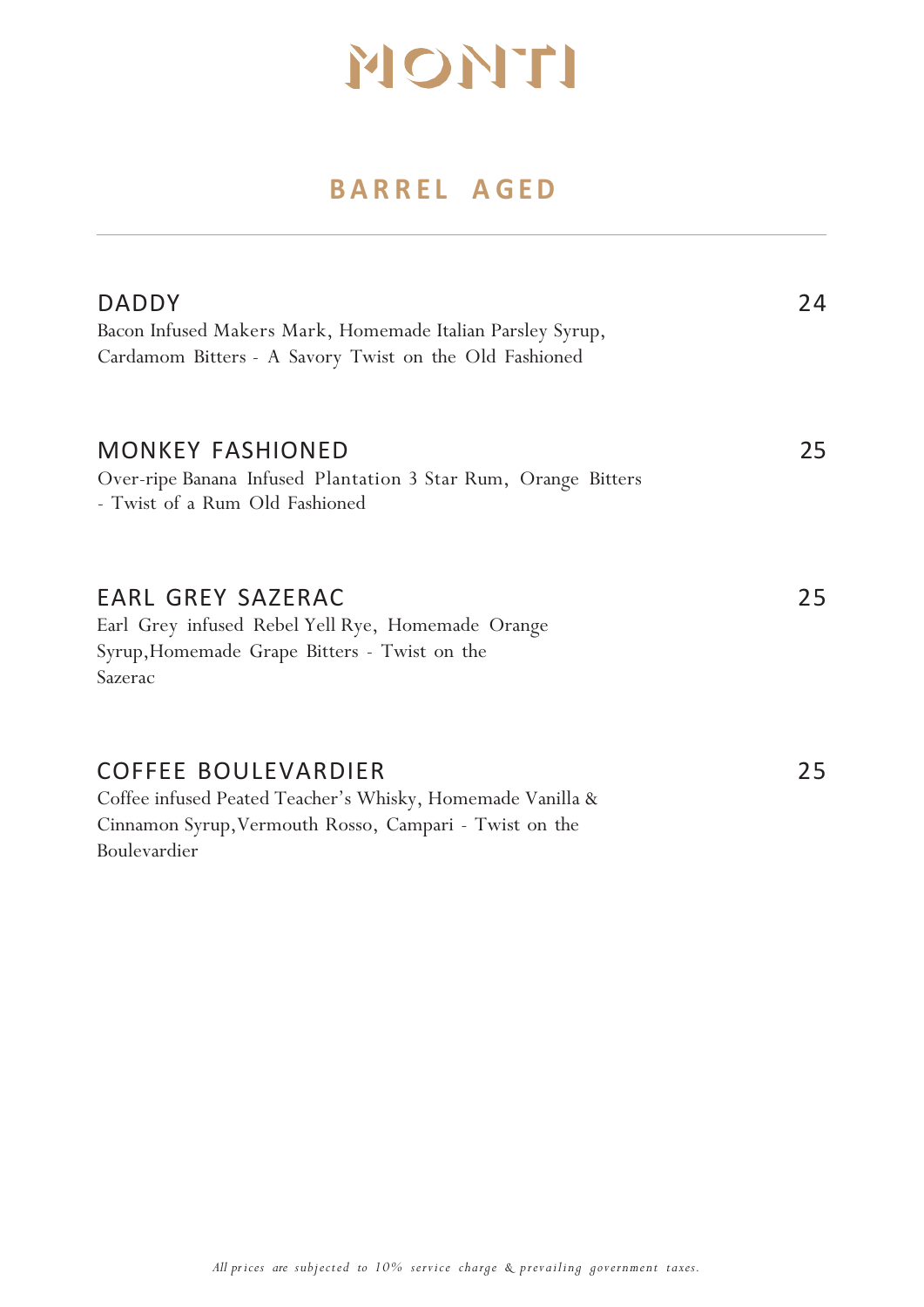### **BARREL A GED**

| <b>DADDY</b><br>Bacon Infused Makers Mark, Homemade Italian Parsley Syrup,<br>Cardamom Bitters - A Savory Twist on the Old Fashioned                               | 24 |
|--------------------------------------------------------------------------------------------------------------------------------------------------------------------|----|
| <b>MONKEY FASHIONED</b><br>Over-ripe Banana Infused Plantation 3 Star Rum, Orange Bitters<br>- Twist of a Rum Old Fashioned                                        | 25 |
| <b>EARL GREY SAZERAC</b><br>Earl Grey infused Rebel Yell Rye, Homemade Orange<br>Syrup, Homemade Grape Bitters - Twist on the<br>Sazerac                           | 25 |
| <b>COFFEE BOULEVARDIER</b><br>Coffee infused Peated Teacher's Whisky, Homemade Vanilla &<br>Cinnamon Syrup, Vermouth Rosso, Campari - Twist on the<br>Boulevardier | 25 |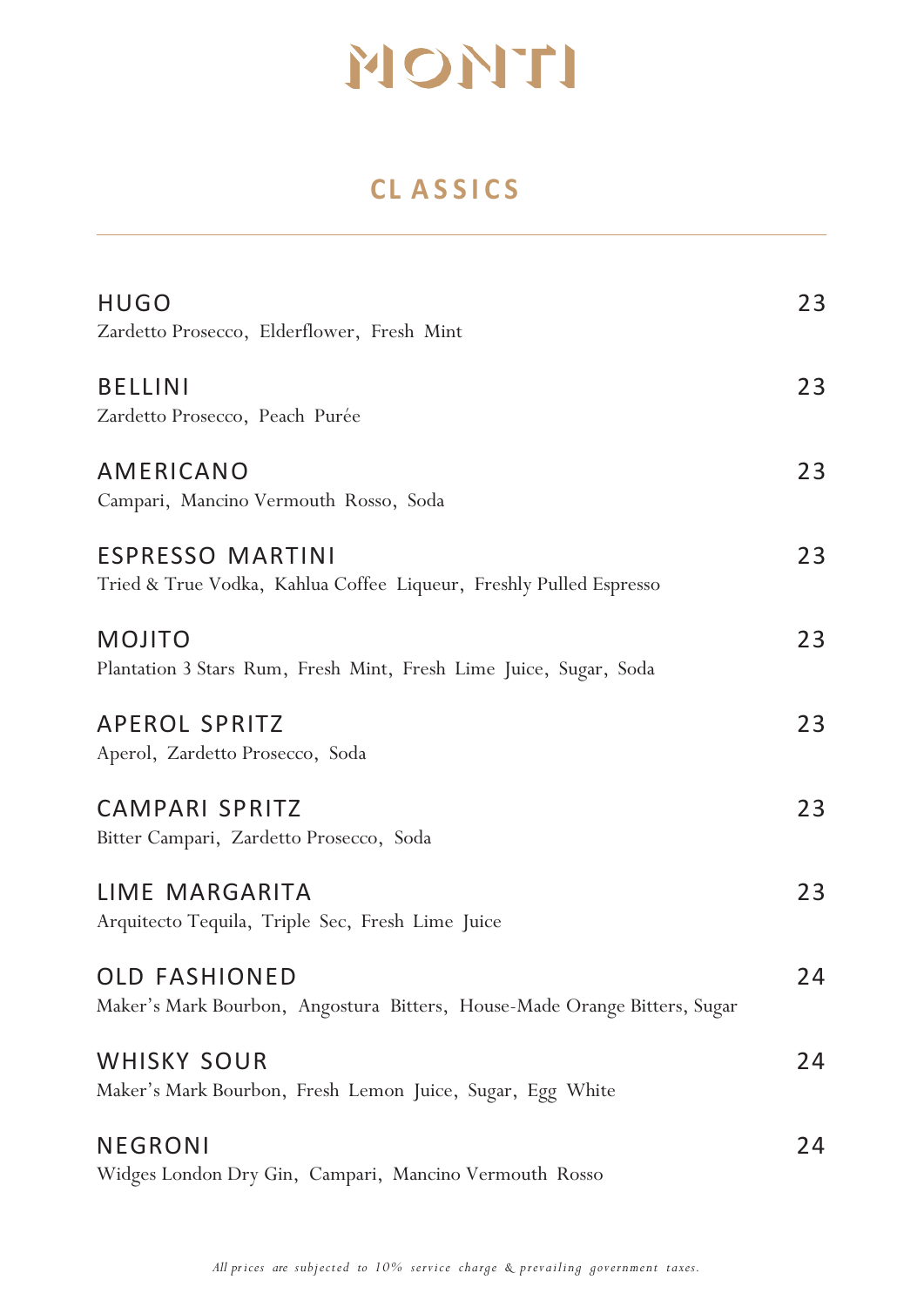### **CL ASSICS**

| <b>HUGO</b><br>Zardetto Prosecco, Elderflower, Fresh Mint                                         | 23 |
|---------------------------------------------------------------------------------------------------|----|
| <b>BELLINI</b><br>Zardetto Prosecco, Peach Purée                                                  | 23 |
| AMERICANO<br>Campari, Mancino Vermouth Rosso, Soda                                                | 23 |
| <b>ESPRESSO MARTINI</b><br>Tried & True Vodka, Kahlua Coffee Liqueur, Freshly Pulled Espresso     | 23 |
| <b>MOJITO</b><br>Plantation 3 Stars Rum, Fresh Mint, Fresh Lime Juice, Sugar, Soda                | 23 |
| <b>APEROL SPRITZ</b><br>Aperol, Zardetto Prosecco, Soda                                           | 23 |
| <b>CAMPARI SPRITZ</b><br>Bitter Campari, Zardetto Prosecco, Soda                                  | 23 |
| LIME MARGARITA<br>Arquitecto Tequila, Triple Sec, Fresh Lime Juice                                | 23 |
| <b>OLD FASHIONED</b><br>Maker's Mark Bourbon, Angostura Bitters, House-Made Orange Bitters, Sugar | 24 |
| <b>WHISKY SOUR</b><br>Maker's Mark Bourbon, Fresh Lemon Juice, Sugar, Egg White                   | 24 |
| <b>NEGRONI</b><br>Widges London Dry Gin, Campari, Mancino Vermouth Rosso                          | 24 |

*All prices are subjected to 10% service charge & prevailing government taxes.*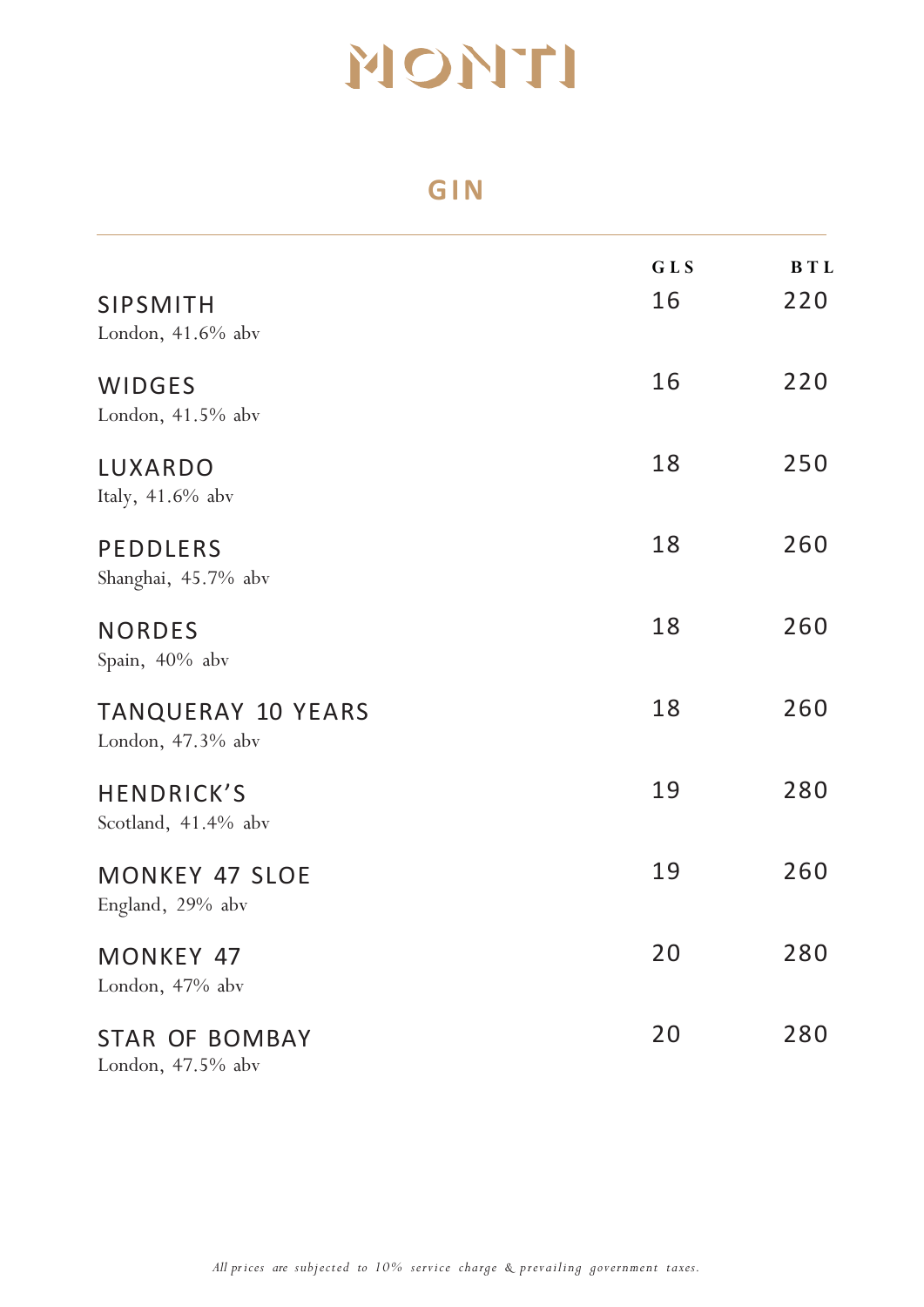#### **GIN**

|                                                | GLS | <b>BTL</b> |
|------------------------------------------------|-----|------------|
| <b>SIPSMITH</b><br>London, $41.6\%$ abv        | 16  | 220        |
| <b>WIDGES</b><br>London, $41.5%$ abv           | 16  | 220        |
| LUXARDO<br>Italy, 41.6% abv                    | 18  | 250        |
| <b>PEDDLERS</b><br>Shanghai, 45.7% abv         | 18  | 260        |
| <b>NORDES</b><br>Spain, 40% abv                | 18  | 260        |
| <b>TANQUERAY 10 YEARS</b><br>London, 47.3% abv | 18  | 260        |
| <b>HENDRICK'S</b><br>Scotland, 41.4% abv       | 19  | 280        |
| <b>MONKEY 47 SLOE</b><br>England, 29% abv      | 19  | 260        |
| MONKEY 47<br>London, 47% abv                   | 20  | 280        |
| <b>STAR OF BOMBAY</b><br>London, $47.5%$ abv   | 20  | 280        |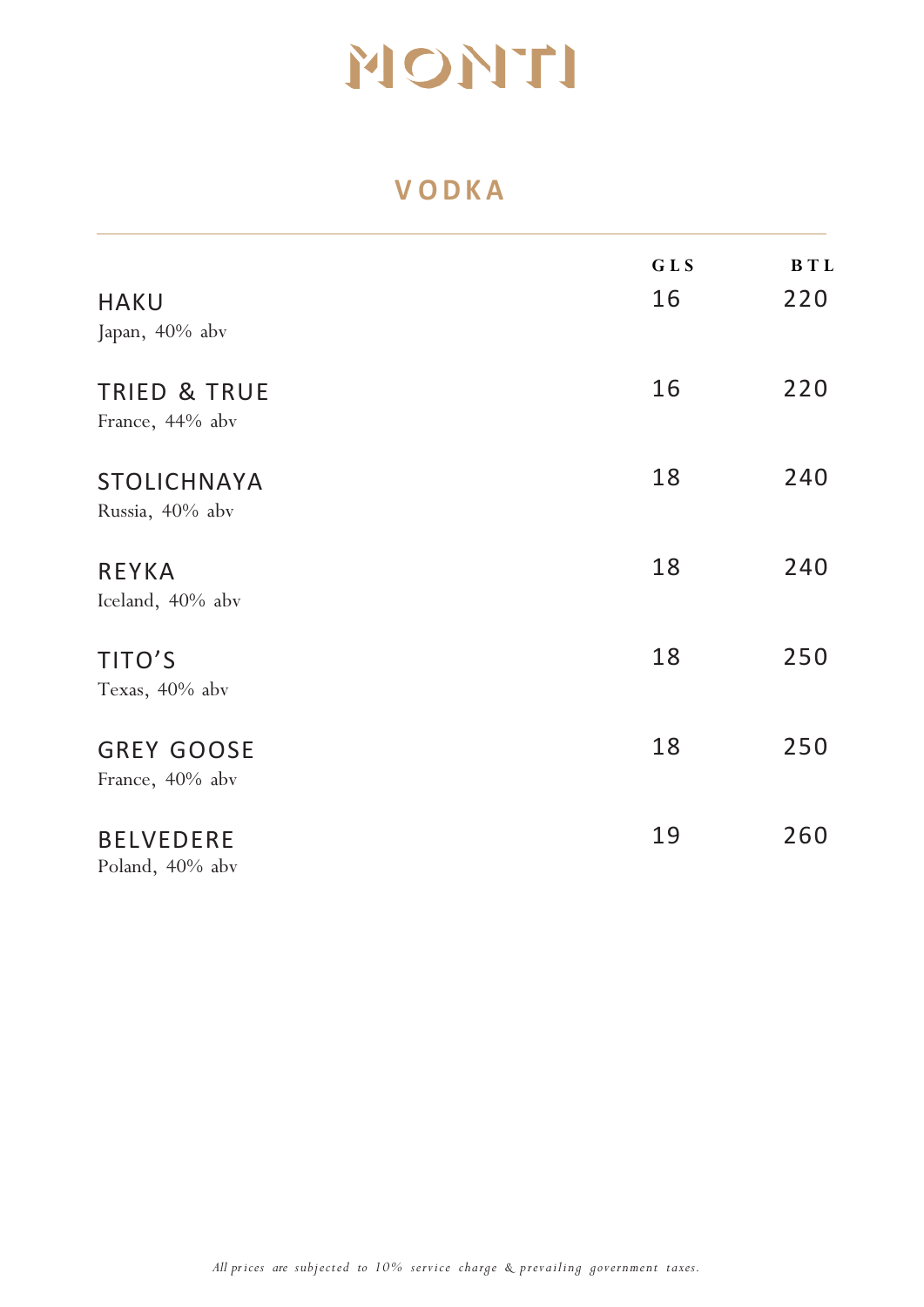### **V ODKA**

|                                            | GLS | <b>BTL</b> |
|--------------------------------------------|-----|------------|
| <b>HAKU</b><br>Japan, 40% abv              | 16  | 220        |
| <b>TRIED &amp; TRUE</b><br>France, 44% abv | 16  | 220        |
| <b>STOLICHNAYA</b><br>Russia, 40% abv      | 18  | 240        |
| <b>REYKA</b><br>Iceland, 40% abv           | 18  | 240        |
| TITO'S<br>Texas, 40% abv                   | 18  | 250        |
| <b>GREY GOOSE</b><br>France, 40% abv       | 18  | 250        |
| <b>BELVEDERE</b><br>Poland, 40% abv        | 19  | 260        |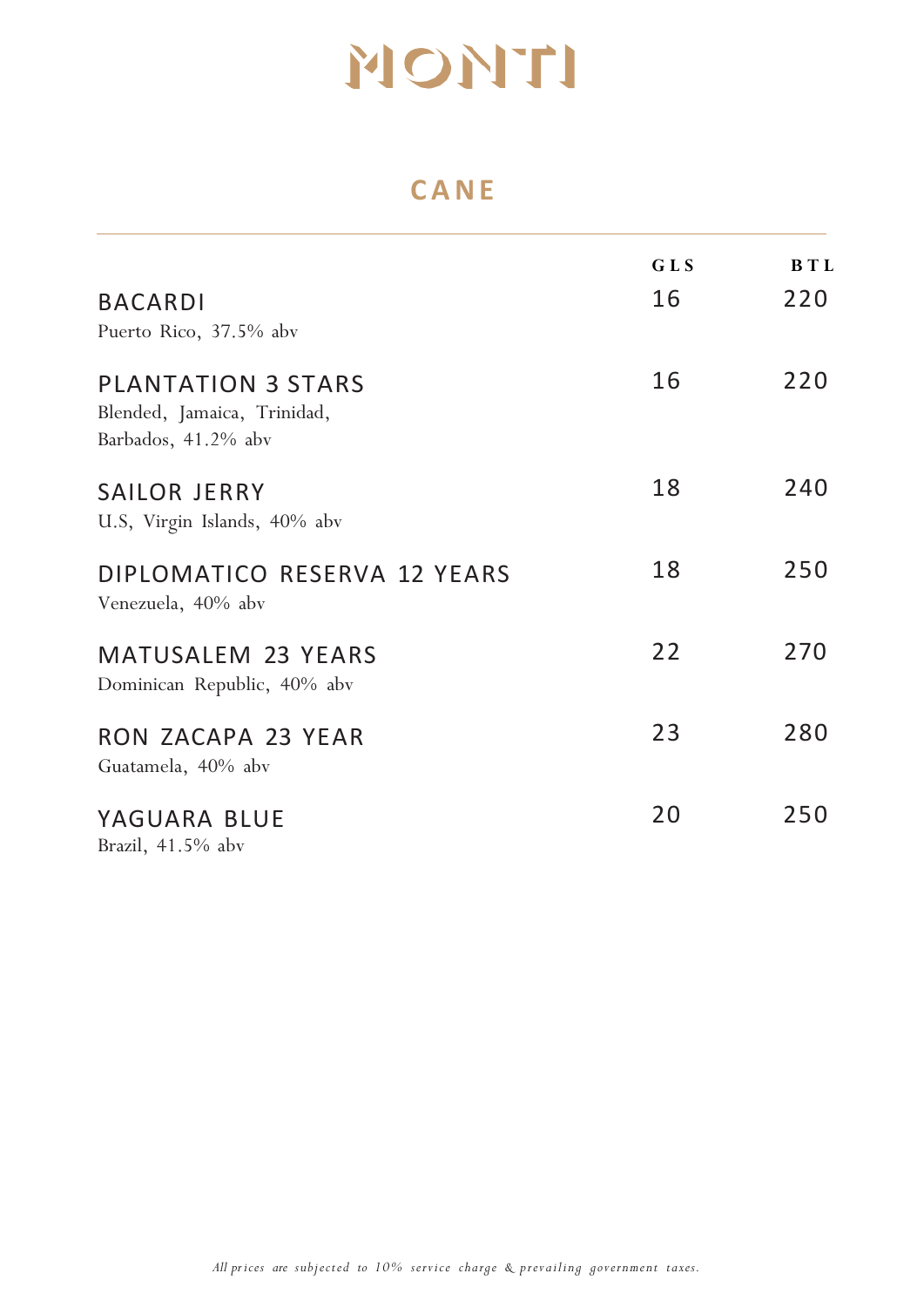### **CANE**

| <b>BACARDI</b><br>Puerto Rico, 37.5% abv                                        | <b>GLS</b><br>16 | <b>BTL</b><br>220 |
|---------------------------------------------------------------------------------|------------------|-------------------|
| <b>PLANTATION 3 STARS</b><br>Blended, Jamaica, Trinidad,<br>Barbados, 41.2% abv | 16               | 220               |
| <b>SAILOR JERRY</b><br>U.S, Virgin Islands, 40% abv                             | 18               | 240               |
| DIPLOMATICO RESERVA 12 YEARS<br>Venezuela, 40% abv                              | 18               | 250               |
| <b>MATUSALEM 23 YEARS</b><br>Dominican Republic, 40% abv                        | 22               | 270               |
| RON ZACAPA 23 YEAR<br>Guatamela, 40% abv                                        | 23               | 280               |
| YAGUARA BLUE<br>$P = -1 + 4 + P$                                                | 20               | 250               |

Brazil, 41.5% abv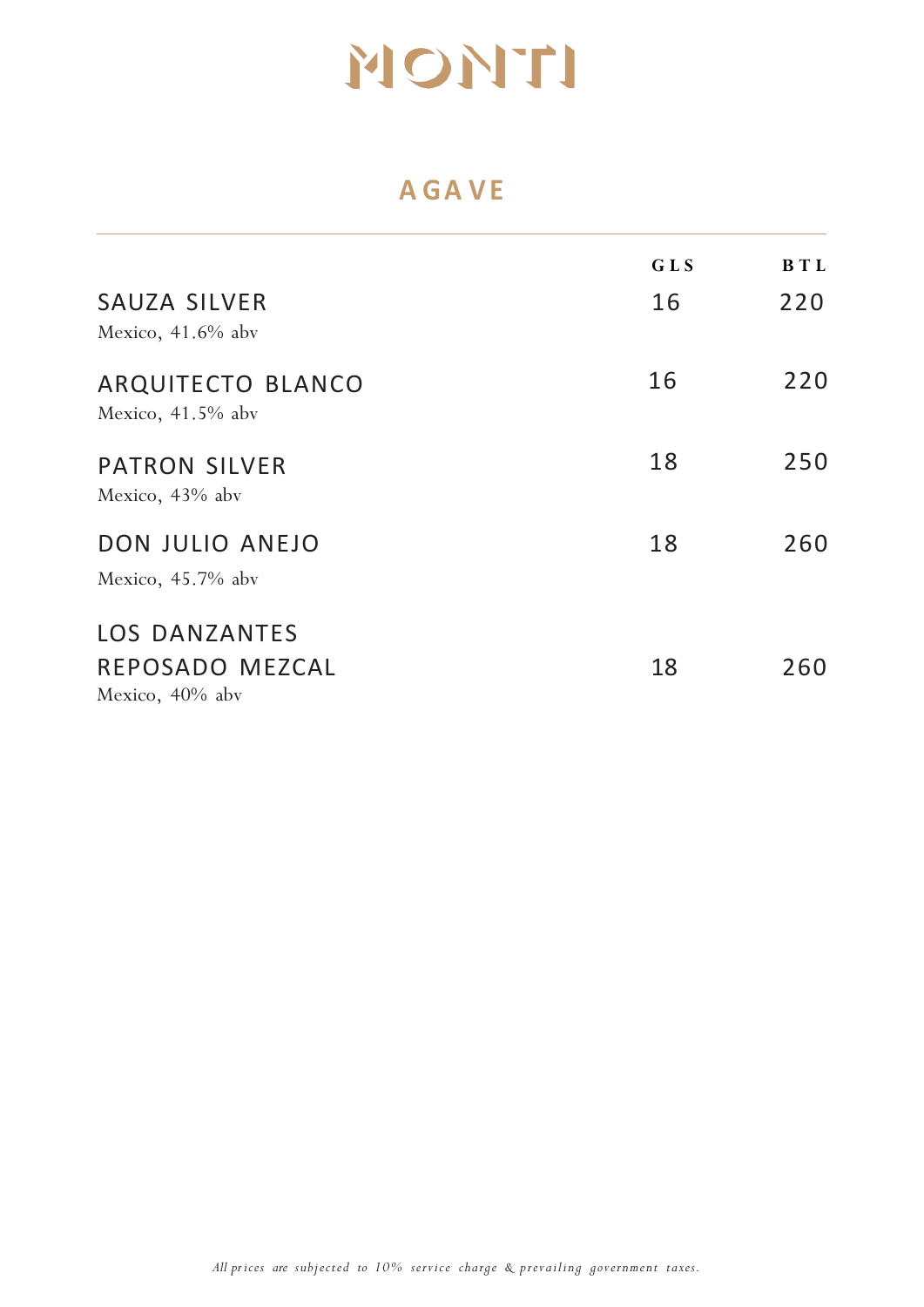### **A G A VE**

|                                                               | <b>GLS</b> | BT <sub>L</sub> |
|---------------------------------------------------------------|------------|-----------------|
| <b>SAUZA SILVER</b><br>Mexico, $41.6\%$ aby                   | 16         | 220             |
| ARQUITECTO BLANCO<br>Mexico, $41.5%$ abv                      | 16         | 220             |
| <b>PATRON SILVER</b><br>Mexico, 43% abv                       | 18         | 250             |
| DON JULIO ANEJO<br>Mexico, $45.7\%$ aby                       | 18         | 260             |
| <b>LOS DANZANTES</b><br>REPOSADO MEZCAL<br>Mexico, $40\%$ aby | 18         | 260             |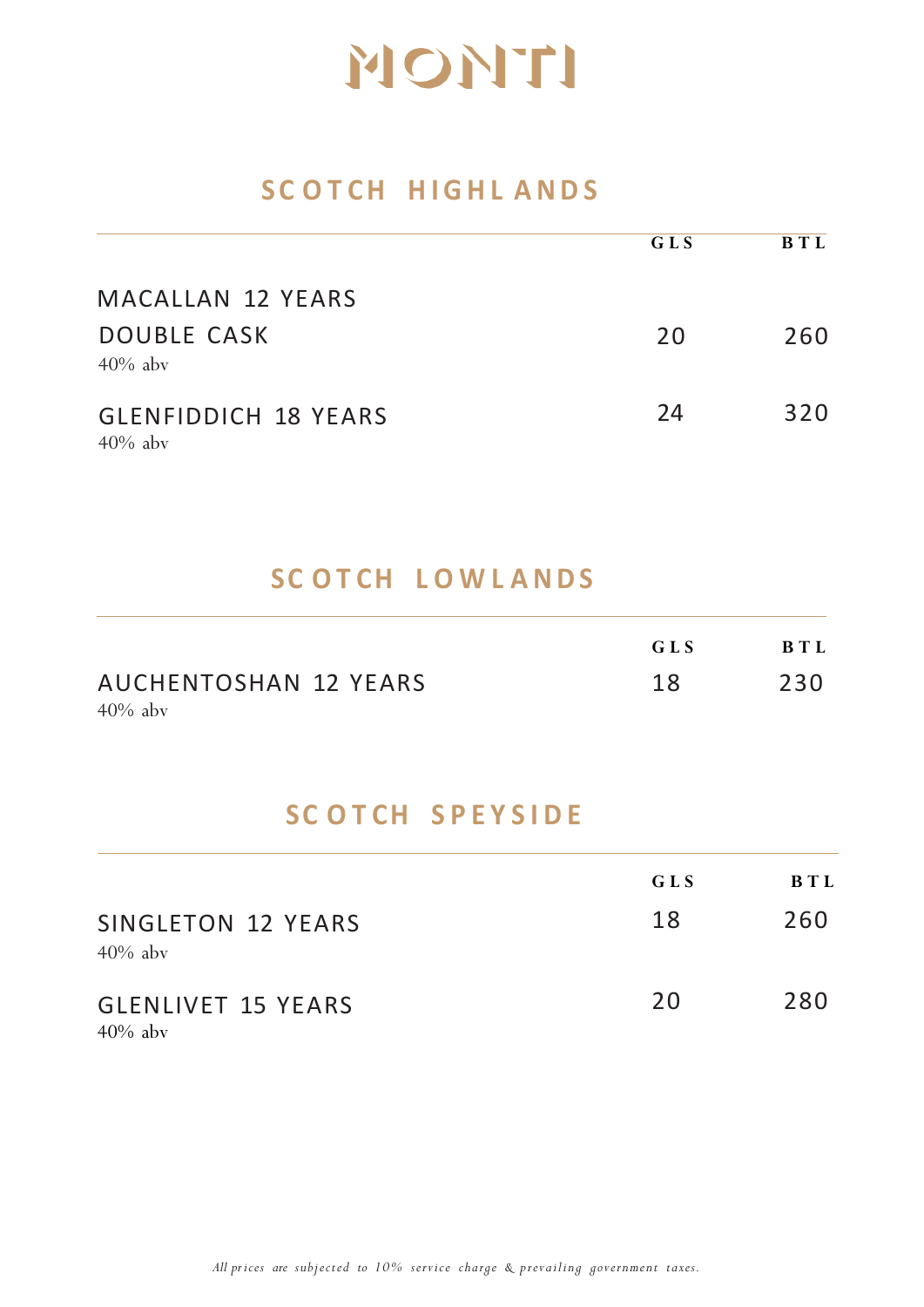### **SC O T C H HIGHL ANDS**

|                                           | GLS | <b>BTL</b> |
|-------------------------------------------|-----|------------|
| MACALLAN 12 YEARS                         |     |            |
| <b>DOUBLE CASK</b><br>$40\%$ aby          | 20  | 260        |
| <b>GLENFIDDICH 18 YEARS</b><br>$40\%$ aby | 24  | 320        |

### **SC O T CH L O W L ANDS**

|                              | GLS | BTI. |
|------------------------------|-----|------|
| <b>AUCHENTOSHAN 12 YEARS</b> | 18  | 230  |
| $40\%$ aby                   |     |      |

### **SC O T C H SPEYSIDE**

|                                         | GLS<br>18 | BTL<br>260 |
|-----------------------------------------|-----------|------------|
| SINGLETON 12 YEARS<br>$40\%$ aby        |           |            |
| <b>GLENLIVET 15 YEARS</b><br>$40\%$ aby | 20        | 280        |

*All prices are subjected to 10% service charge & prevailing government taxes.*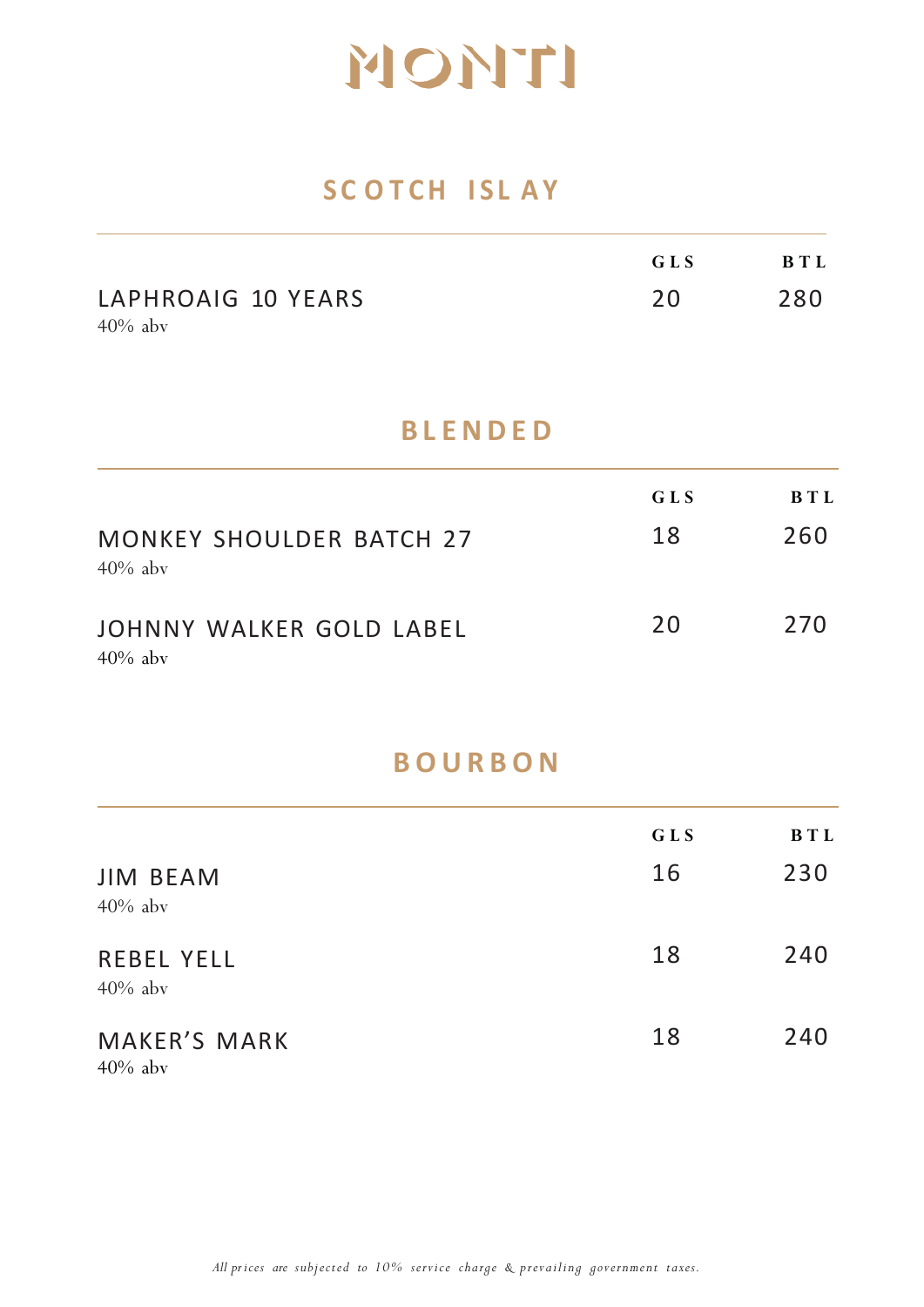### **SC O T C H ISL AY**

|                    | GLS | B T L |
|--------------------|-----|-------|
| LAPHROAIG 10 YEARS | 20  | 280   |
| $40\%$ aby         |     |       |

#### **BLENDED**

| <b>MONKEY SHOULDER BATCH 27</b>        | GLS | BTI. |
|----------------------------------------|-----|------|
| $40\%$ aby                             | 18  | 260  |
| JOHNNY WALKER GOLD LABEL<br>$40\%$ aby | 20  | 270  |

### **BOURBON**

|                                   | GLS | <b>BTL</b> |
|-----------------------------------|-----|------------|
| <b>JIM BEAM</b><br>$40\%$ aby     | 16  | 230        |
| <b>REBEL YELL</b><br>$40\%$ aby   | 18  | 240        |
| <b>MAKER'S MARK</b><br>$40\%$ aby | 18  | 240        |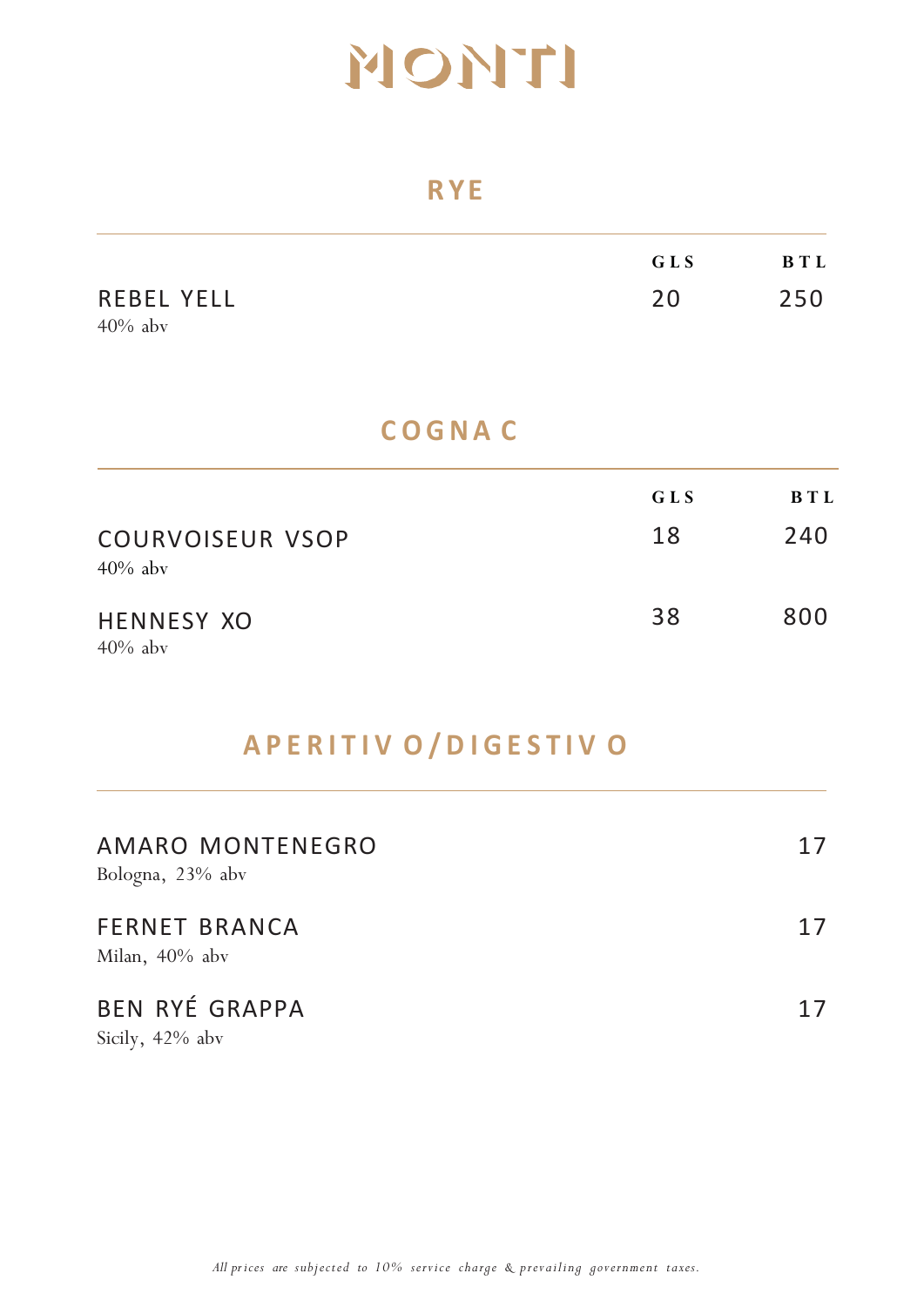#### **RYE**

|                                 | GLS | BTL |
|---------------------------------|-----|-----|
| <b>REBEL YELL</b><br>$40\%$ aby | 20  | 250 |

### **C OGNA C**

| <b>COURVOISEUR VSOP</b>         | GLS | BTL |
|---------------------------------|-----|-----|
| $40\%$ aby                      | 18  | 240 |
| <b>HENNESY XO</b><br>$40\%$ aby | 38  | 800 |

## **APERITIV O /DIGESTIV O**

| AMARO MONTENEGRO<br>Bologna, 23% abv         | 17 |
|----------------------------------------------|----|
| <b>FERNET BRANCA</b><br>Milan, 40% abv       | 17 |
| <b>BEN RYÉ GRAPPA</b><br>$0: 11 \t 100 \t 1$ | 17 |

Sicily, 42% abv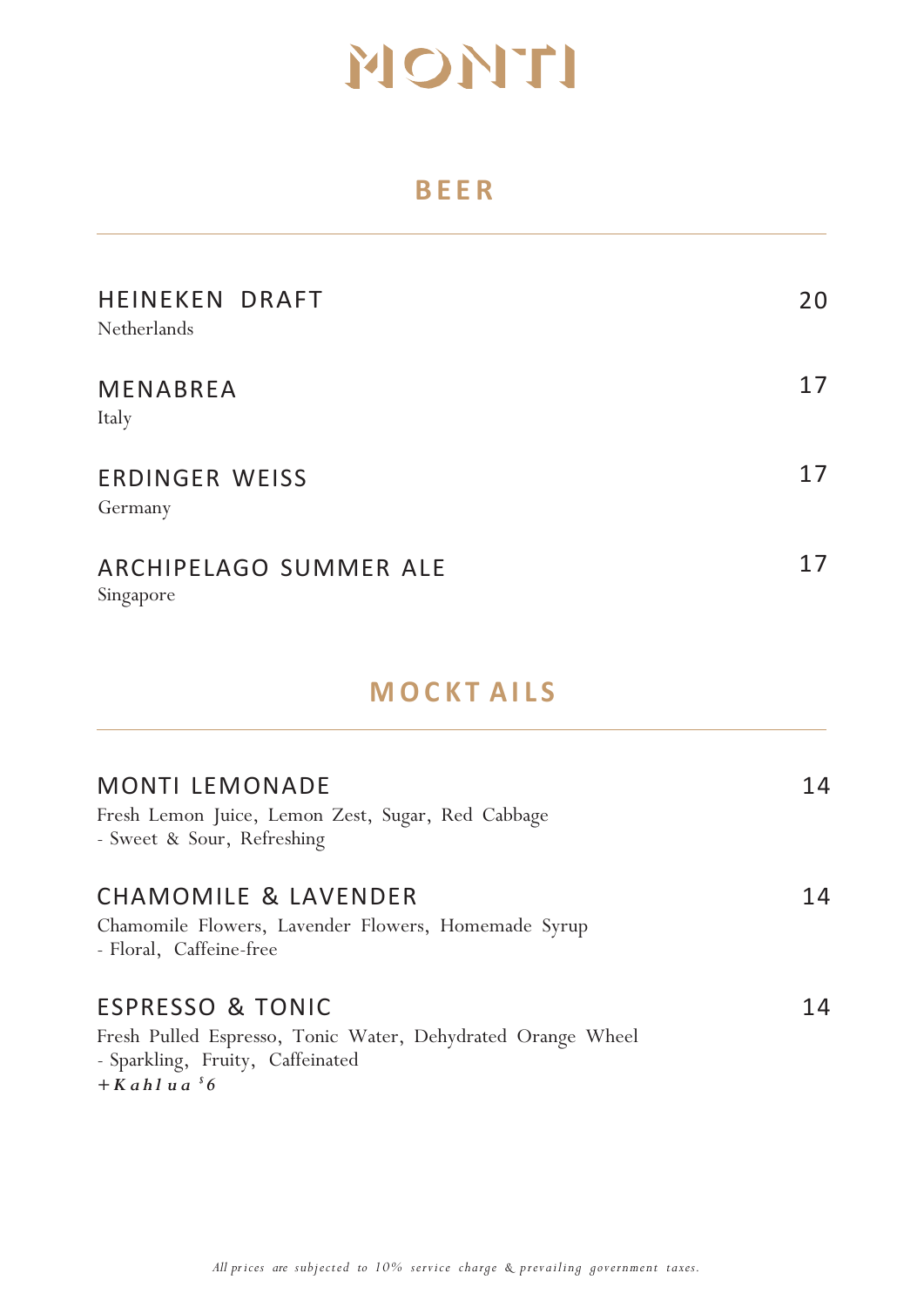### **BEER**

| HEINEKEN DRAFT<br>Netherlands       | 20 |
|-------------------------------------|----|
| MENABREA<br>Italy                   | 17 |
| <b>ERDINGER WEISS</b><br>Germany    | 17 |
| ARCHIPELAGO SUMMER ALE<br>Singapore | 17 |

### **MOCKT AILS**

| <b>MONTI LEMONADE</b><br>Fresh Lemon Juice, Lemon Zest, Sugar, Red Cabbage<br>- Sweet & Sour, Refreshing                                                    | 14 |
|-------------------------------------------------------------------------------------------------------------------------------------------------------------|----|
| CHAMOMILE & LAVENDER<br>Chamomile Flowers, Lavender Flowers, Homemade Syrup<br>- Floral, Caffeine-free                                                      | 14 |
| <b>ESPRESSO &amp; TONIC</b><br>Fresh Pulled Espresso, Tonic Water, Dehydrated Orange Wheel<br>- Sparkling, Fruity, Caffeinated<br>$+$ Kahlua <sup>5</sup> 6 | 14 |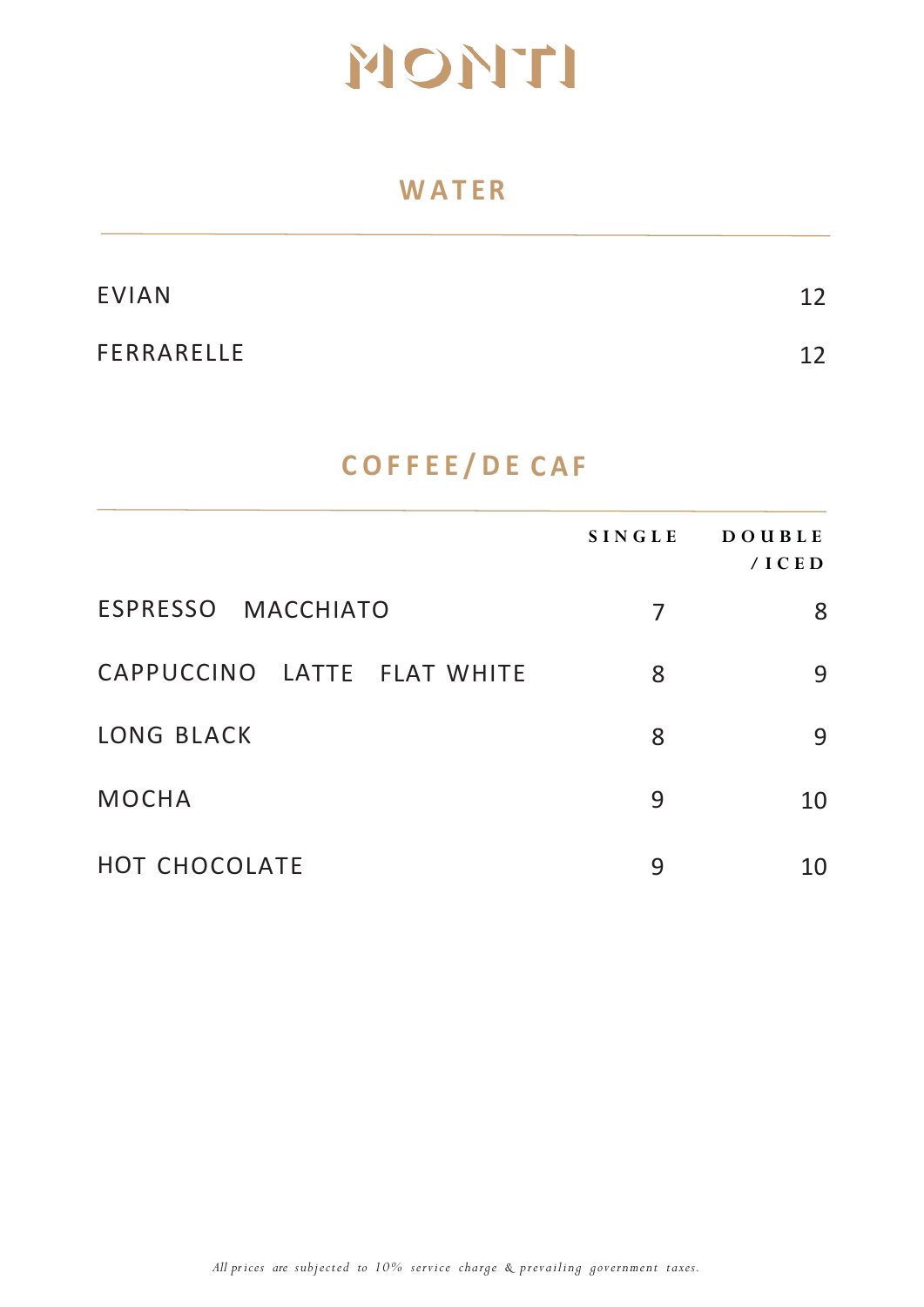#### **W A TER**

| <b>EVIAN</b> | 12 |
|--------------|----|
| FERRARELLE   | 12 |

## **C OFFEE/DE CAF**

|                             | <b>SINGLE</b> | <b>DOUBLE</b><br>/ICED |
|-----------------------------|---------------|------------------------|
| ESPRESSO MACCHIATO          | 7             | 8                      |
| CAPPUCCINO LATTE FLAT WHITE | 8             | 9                      |
| <b>LONG BLACK</b>           | 8             | 9                      |
| <b>MOCHA</b>                | 9             | 10                     |
| HOT CHOCOLATE               | 9             | 10                     |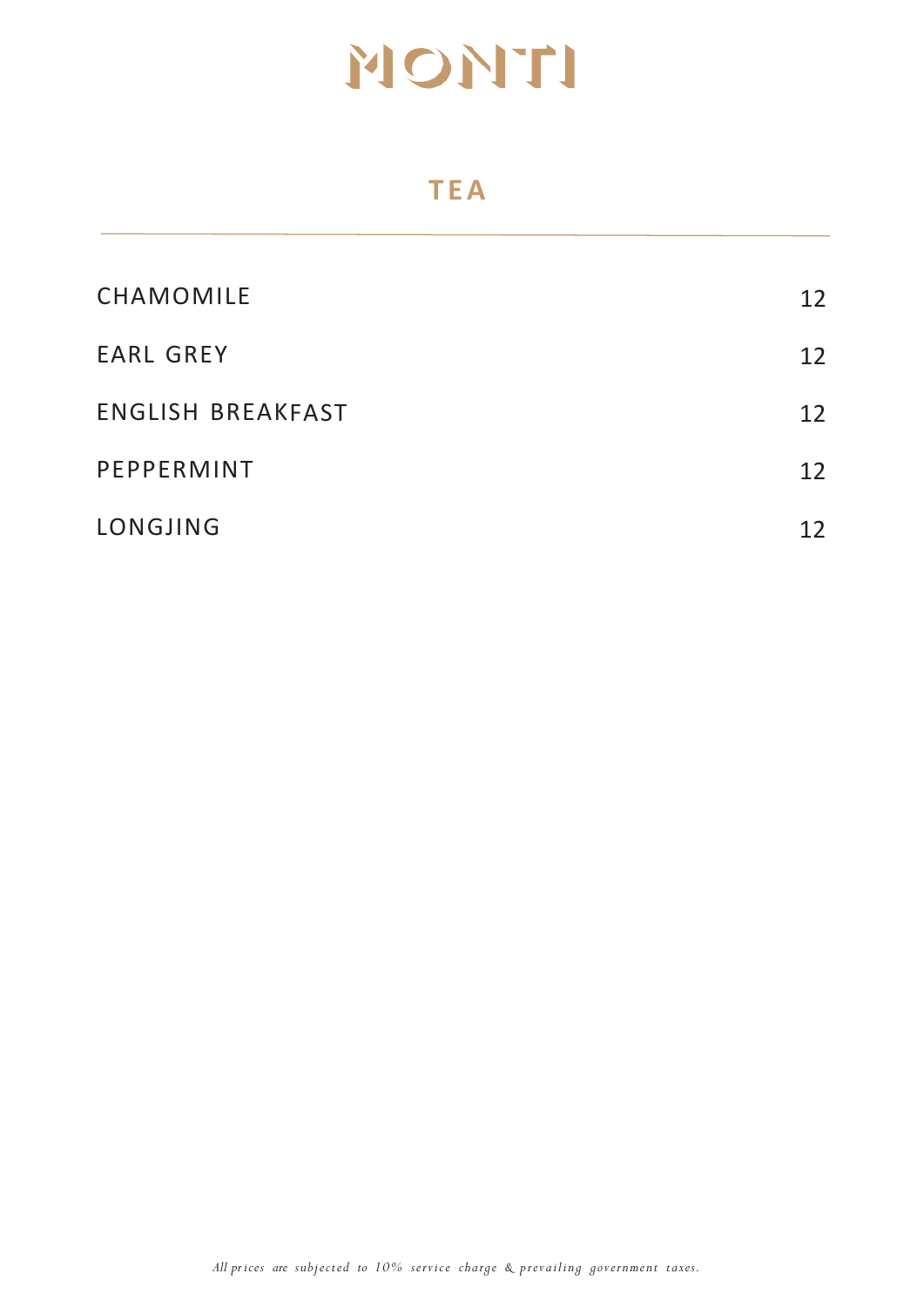### **TEA**

| CHAMOMILE                | 12 |
|--------------------------|----|
| <b>EARL GREY</b>         | 12 |
| <b>ENGLISH BREAKFAST</b> | 12 |
| PEPPERMINT               | 12 |
| LONGJING                 | 12 |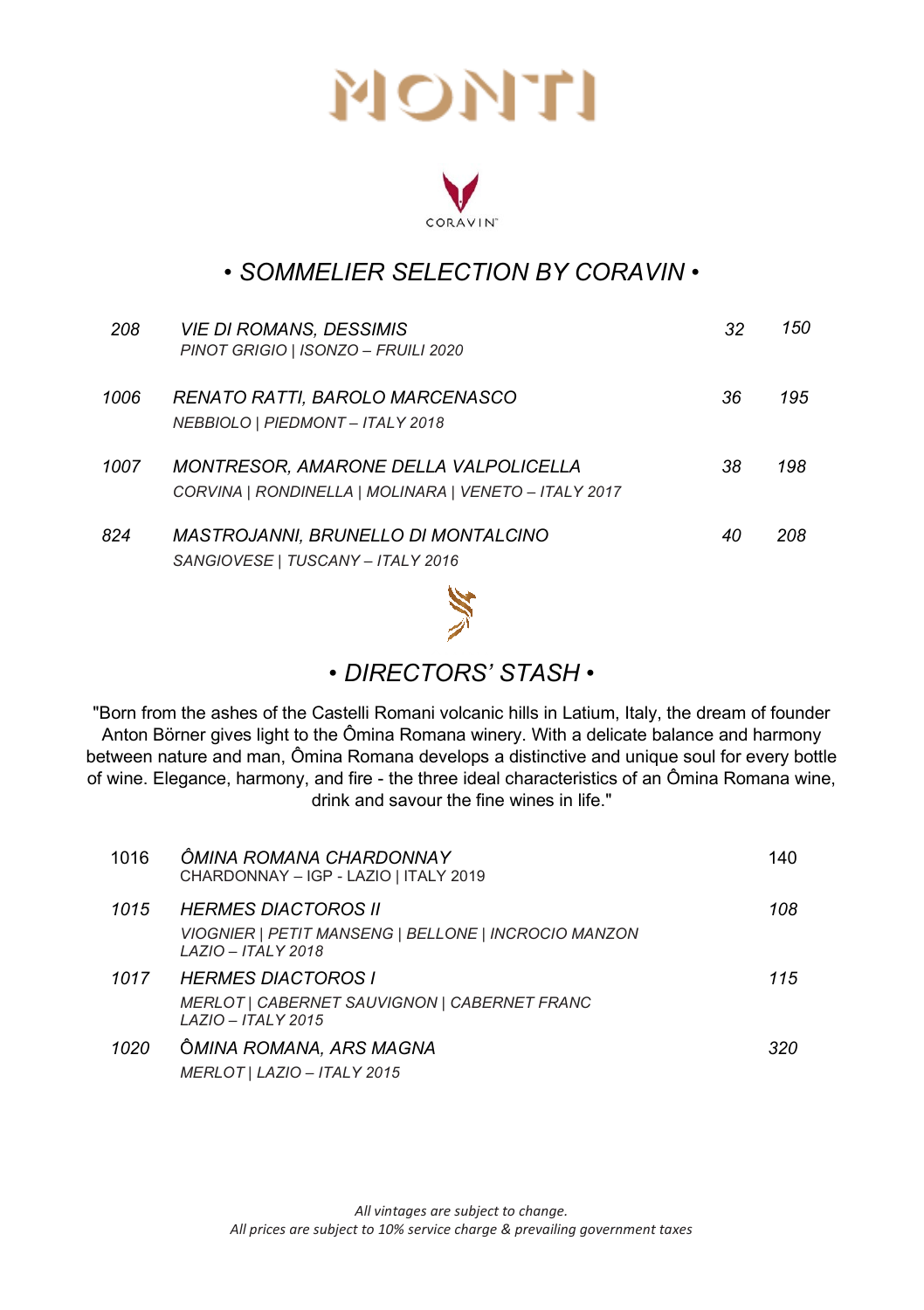

#### *• SOMMELIER SELECTION BY CORAVIN •*

| 208  | <b>VIE DI ROMANS, DESSIMIS</b><br>PINOT GRIGIO   ISONZO - FRUILI 2020                                 | 32 | 150 |
|------|-------------------------------------------------------------------------------------------------------|----|-----|
| 1006 | RENATO RATTI, BAROLO MARCENASCO<br>NEBBIOLO   PIEDMONT - ITALY 2018                                   | 36 | 195 |
| 1007 | <b>MONTRESOR, AMARONE DELLA VALPOLICELLA</b><br>CORVINA   RONDINELLA   MOLINARA   VENETO - ITALY 2017 | 38 | 198 |
| 824  | <i>MASTROJANNI. BRUNELLO DI MONTALCINO</i><br>SANGIOVESE   TUSCANY - ITALY 2016                       | 40 | 208 |
|      | 88 C                                                                                                  |    |     |



#### *• DIRECTORS' STASH •*

"Born from the ashes of the Castelli Romani volcanic hills in Latium, Italy, the dream of founder Anton Börner gives light to the Ômina Romana winery. With a delicate balance and harmony between nature and man, Ômina Romana develops a distinctive and unique soul for every bottle of wine. Elegance, harmony, and fire - the three ideal characteristics of an Ômina Romana wine, drink and savour the fine wines in life."

| 1016 | ÔMINA ROMANA CHARDONNAY<br>CHARDONNAY - IGP - LAZIO   ITALY 2019                                                | 140 |
|------|-----------------------------------------------------------------------------------------------------------------|-----|
| 1015 | <b>HERMES DIACTOROS II</b><br>VIOGNIER   PETIT MANSENG   BELLONE   INCROCIO MANZON<br><b>LAZIO - ITALY 2018</b> | 108 |
| 1017 | <b>HERMES DIACTOROS I</b><br>MERLOT   CABERNET SAUVIGNON   CABERNET FRANC<br><b>LAZIO - ITALY 2015</b>          | 115 |
| 1020 | ÔMINA ROMANA, ARS MAGNA<br>MERLOT   LAZIO - ITALY 2015                                                          | 320 |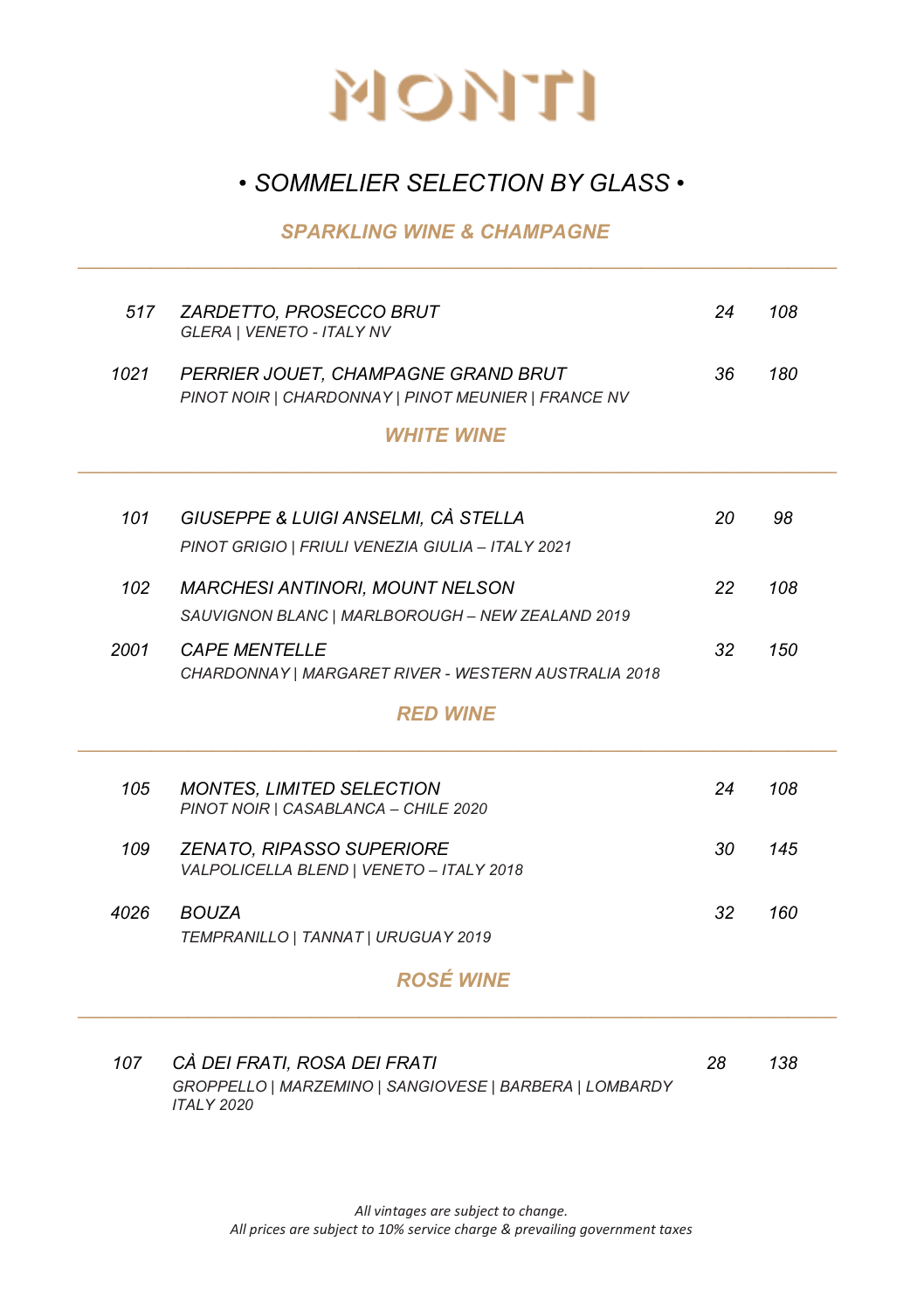

#### *• SOMMELIER SELECTION BY GLASS •*

*\_\_\_\_\_\_\_\_\_\_\_\_\_\_\_\_\_\_\_\_\_\_\_\_\_\_\_\_\_\_\_\_\_\_\_\_\_\_\_\_\_\_\_\_\_\_\_\_\_\_\_\_\_\_\_\_\_\_\_\_\_\_* 

#### *SPARKLING WINE & CHAMPAGNE*

| 517  | ZARDETTO, PROSECCO BRUT<br>GLERA   VENETO - ITALY NV                                                         | 24 | 108 |
|------|--------------------------------------------------------------------------------------------------------------|----|-----|
| 1021 | PERRIER JOUET, CHAMPAGNE GRAND BRUT<br>PINOT NOIR   CHARDONNAY   PINOT MEUNIER   FRANCE NV                   | 36 | 180 |
|      | <b>WHITE WINE</b>                                                                                            |    |     |
| 101  | GIUSEPPE & LUIGI ANSELMI, CÀ STELLA<br>PINOT GRIGIO   FRIULI VENEZIA GIULIA - ITALY 2021                     | 20 | 98  |
| 102  | <b>MARCHESI ANTINORI, MOUNT NELSON</b><br>SAUVIGNON BLANC   MARLBOROUGH - NEW ZEALAND 2019                   | 22 | 108 |
| 2001 | <b>CAPE MENTELLE</b><br>CHARDONNAY   MARGARET RIVER - WESTERN AUSTRALIA 2018                                 | 32 | 150 |
|      | <b>RED WINE</b>                                                                                              |    |     |
| 105  | <b>MONTES. LIMITED SELECTION</b><br>PINOT NOIR   CASABLANCA - CHILE 2020                                     | 24 | 108 |
| 109  | <b>ZENATO, RIPASSO SUPERIORE</b><br>VALPOLICELLA BLEND   VENETO - ITALY 2018                                 | 30 | 145 |
| 4026 | <b>BOUZA</b><br>TEMPRANILLO   TANNAT   URUGUAY 2019                                                          | 32 | 160 |
|      | <b>ROSÉ WINE</b>                                                                                             |    |     |
| 107  | CÀ DEI FRATI, ROSA DEI FRATI<br>GROPPELLO   MARZEMINO   SANGIOVESE   BARBERA   LOMBARDY<br><b>ITALY 2020</b> | 28 | 138 |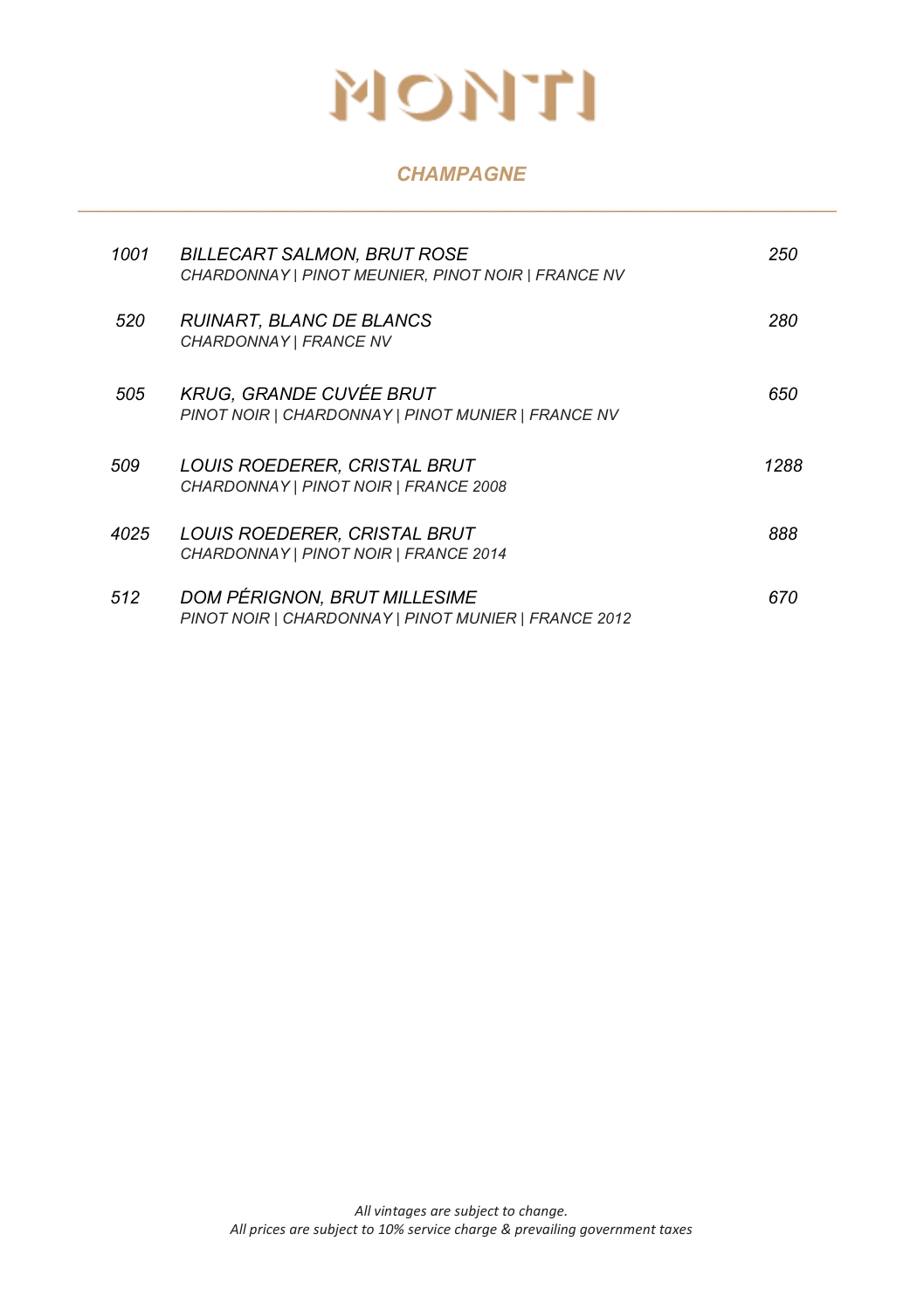#### *CHAMPAGNE \_\_\_\_\_\_\_\_\_\_\_\_\_\_\_\_\_\_\_\_\_\_\_\_\_\_\_\_\_\_\_\_\_\_\_\_\_\_\_\_\_\_\_\_\_\_\_\_\_\_\_\_\_\_\_\_\_\_\_\_\_\_*

| 1001 | BILLECART SALMON. BRUT ROSE<br>CHARDONNAY   PINOT MEUNIER, PINOT NOIR   FRANCE NV    | 250  |
|------|--------------------------------------------------------------------------------------|------|
| 520  | RUINART. BLANC DE BLANCS<br>CHARDONNAY   FRANCE NV                                   | 280  |
| 505  | <b>KRUG. GRANDE CUVÉE BRUT</b><br>PINOT NOIR   CHARDONNAY   PINOT MUNIER   FRANCE NV | 650  |
| 509  | LOUIS ROEDERER, CRISTAL BRUT<br>CHARDONNAY   PINOT NOIR   FRANCE 2008                | 1288 |
| 4025 | LOUIS ROEDERER, CRISTAL BRUT<br>CHARDONNAY   PINOT NOIR   FRANCE 2014                | 888  |
| 512  | DOM PÉRIGNON, BRUT MILLESIME<br>PINOT NOIR   CHARDONNAY   PINOT MUNIER   FRANCE 2012 | 670  |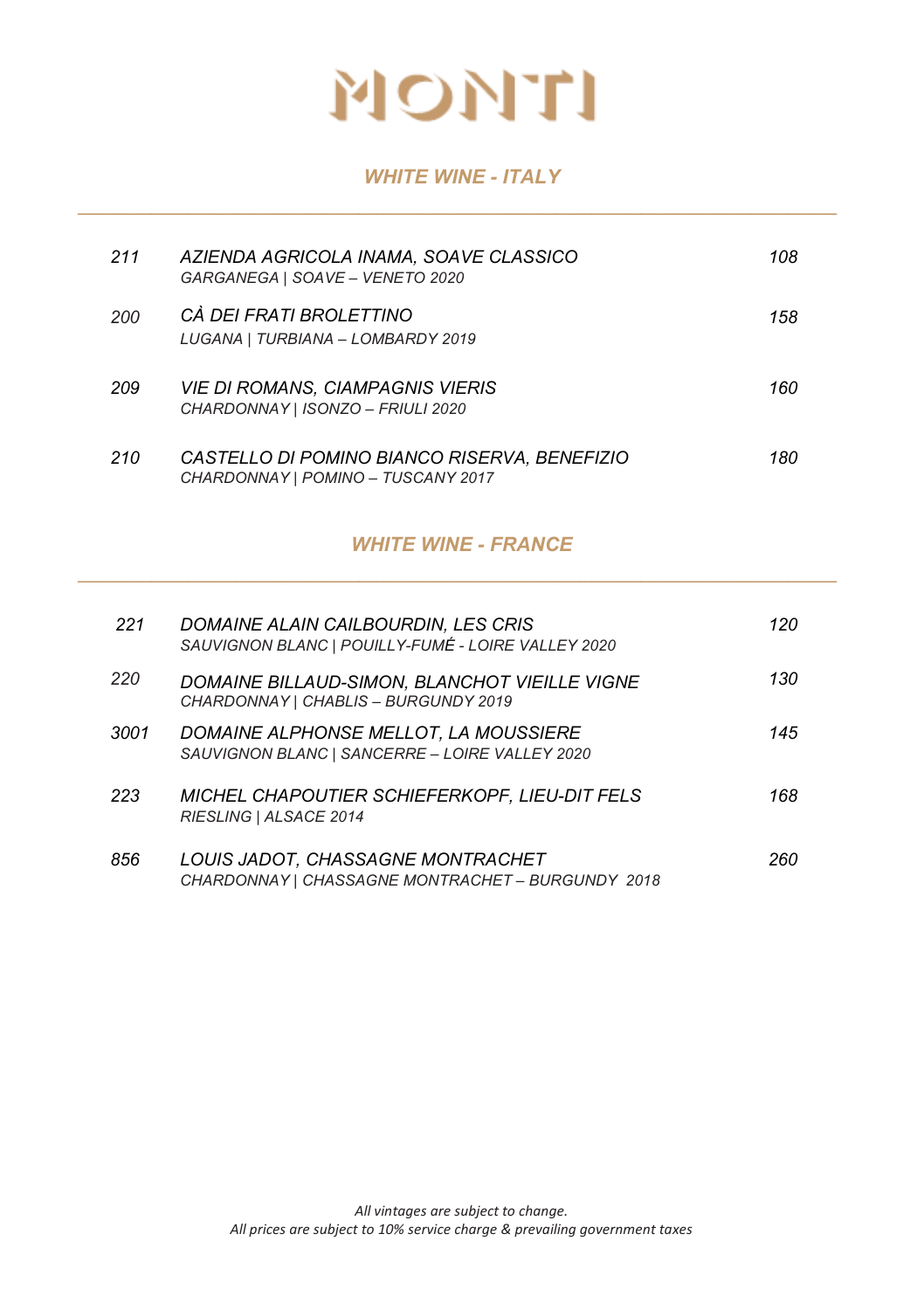

#### *WHITE WINE - ITALY \_\_\_\_\_\_\_\_\_\_\_\_\_\_\_\_\_\_\_\_\_\_\_\_\_\_\_\_\_\_\_\_\_\_\_\_\_\_\_\_\_\_\_\_\_\_\_\_\_\_\_\_\_\_\_\_\_\_\_\_\_\_*

| 211 | AZIENDA AGRICOLA INAMA, SOAVE CLASSICO<br>GARGANEGA   SOAVE - VENETO 2020          | 108 |
|-----|------------------------------------------------------------------------------------|-----|
| 200 | CÀ DEI FRATI BROLETTINO<br>LUGANA   TURBIANA - LOMBARDY 2019                       | 158 |
| 209 | <b>VIE DI ROMANS. CIAMPAGNIS VIERIS</b><br>CHARDONNAY   ISONZO - FRIULI 2020       | 160 |
| 210 | CASTELLO DI POMINO BIANCO RISERVA. BENEFIZIO<br>CHARDONNAY   POMINO - TUSCANY 2017 | 180 |

#### *WHITE WINE - FRANCE \_\_\_\_\_\_\_\_\_\_\_\_\_\_\_\_\_\_\_\_\_\_\_\_\_\_\_\_\_\_\_\_\_\_\_\_\_\_\_\_\_\_\_\_\_\_\_\_\_\_\_\_\_\_\_\_\_\_\_\_\_\_*

| 221  | DOMAINE ALAIN CAILBOURDIN, LES CRIS<br>SAUVIGNON BLANC   POUILLY-FUMÉ - LOIRE VALLEY 2020      | 120 |
|------|------------------------------------------------------------------------------------------------|-----|
| 220  | DOMAINE BILLAUD-SIMON, BLANCHOT VIEILLE VIGNE<br>CHARDONNAY   CHABLIS - BURGUNDY 2019          | 130 |
| 3001 | <i>DOMAINE ALPHONSE MELLOT. LA MOUSSIERE</i><br>SAUVIGNON BLANC   SANCERRE - LOIRE VALLEY 2020 | 145 |
| 223  | MICHEL CHAPOUTIER SCHIEFERKOPF, LIEU-DIT FELS<br>RIESLING   ALSACE 2014                        | 168 |
| 856  | LOUIS JADOT, CHASSAGNE MONTRACHET<br>CHARDONNAY   CHASSAGNE MONTRACHET - BURGUNDY 2018         | 260 |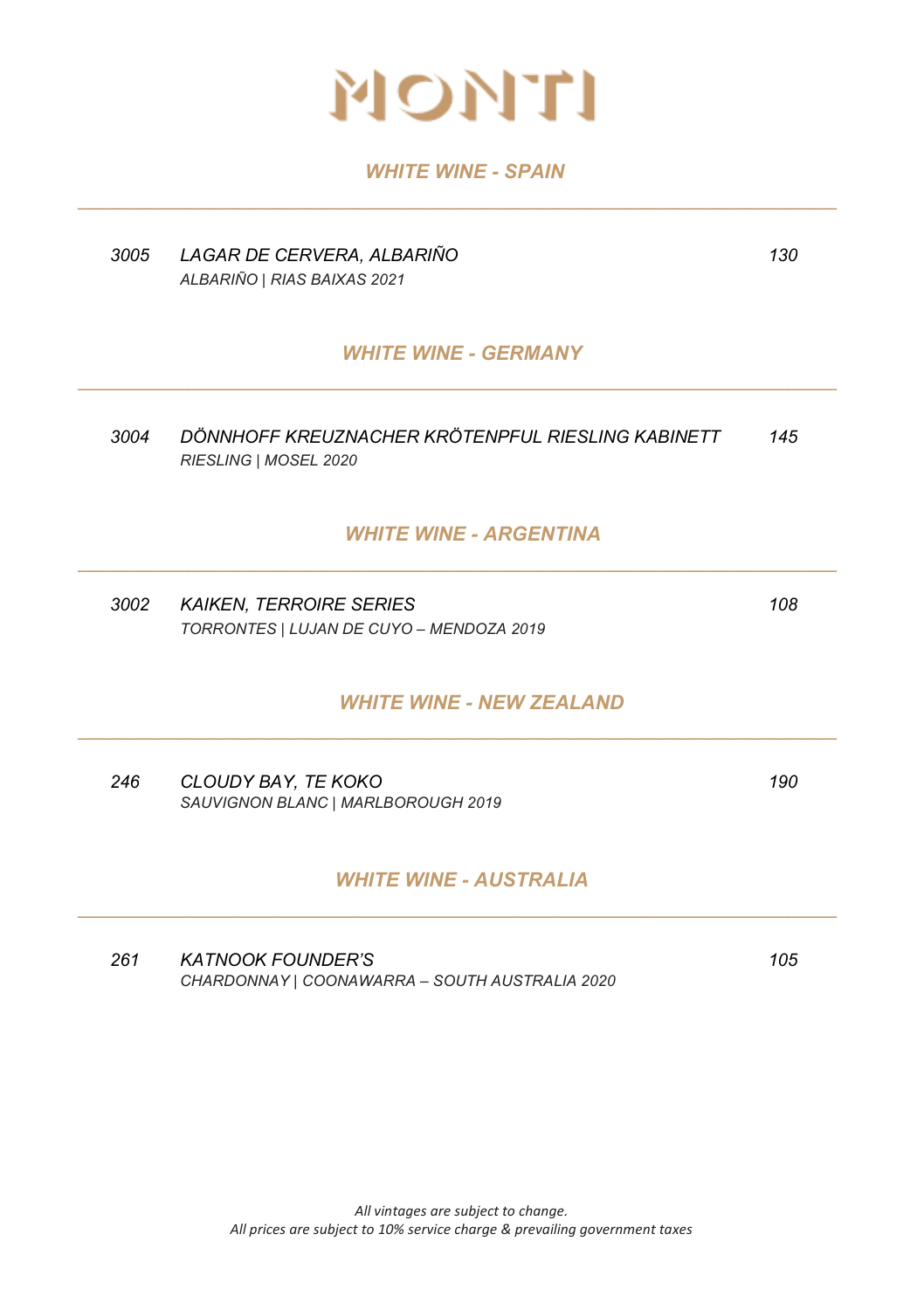

#### *WHITE WINE - SPAIN \_\_\_\_\_\_\_\_\_\_\_\_\_\_\_\_\_\_\_\_\_\_\_\_\_\_\_\_\_\_\_\_\_\_\_\_\_\_\_\_\_\_\_\_\_\_\_\_\_\_\_\_\_\_\_\_\_\_\_\_\_\_*

| 3005 | LAGAR DE CERVERA, ALBARIÑO<br>ALBARIÑO   RIAS BAIXAS 2021                  | 130 |
|------|----------------------------------------------------------------------------|-----|
|      | <b>WHITE WINE - GERMANY</b>                                                |     |
| 3004 | DÖNNHOFF KREUZNACHER KRÖTENPFUL RIESLING KABINETT<br>RIESLING   MOSEL 2020 | 145 |
|      | <b>WHITE WINE - ARGENTINA</b>                                              |     |
| 3002 | <b>KAIKEN, TERROIRE SERIES</b><br>TORRONTES   LUJAN DE CUYO - MENDOZA 2019 | 108 |
|      | <b>WHITE WINE - NEW ZEALAND</b>                                            |     |
| 246  | CLOUDY BAY, TE KOKO<br>SAUVIGNON BLANC   MARLBOROUGH 2019                  | 190 |
|      | <b>WHITE WINE - AUSTRALIA</b>                                              |     |
| 261  | <b>KATNOOK FOUNDER'S</b><br>CHARDONNAY   COONAWARRA - SOUTH AUSTRALIA 2020 | 105 |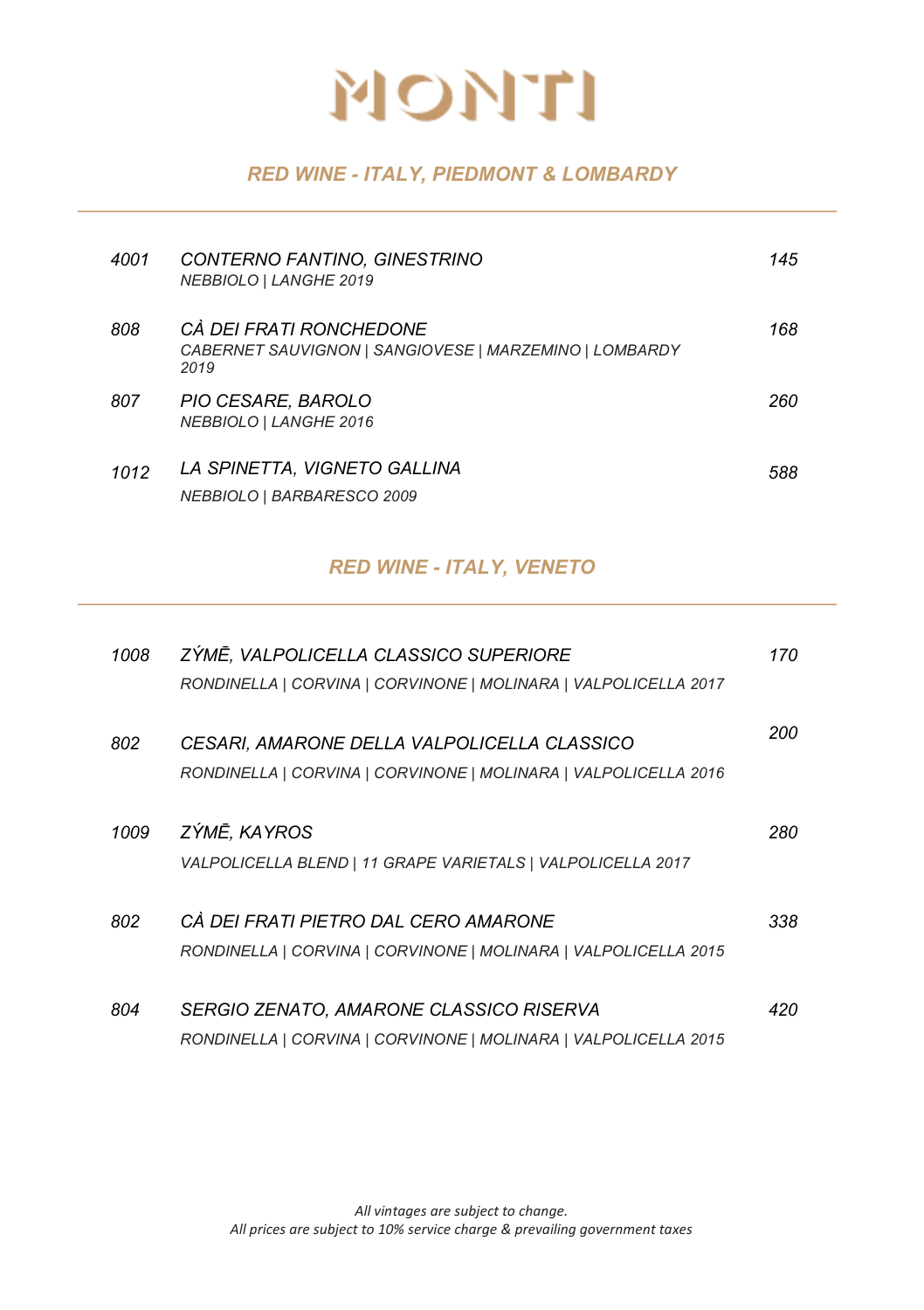

#### *RED WINE - ITALY, PIEDMONT & LOMBARDY \_\_\_\_\_\_\_\_\_\_\_\_\_\_\_\_\_\_\_\_\_\_\_\_\_\_\_\_\_\_\_\_\_\_\_\_\_\_\_\_\_\_\_\_\_\_\_\_\_\_\_\_\_\_\_\_\_\_\_\_\_\_*

| 4001 | CONTERNO FANTINO, GINESTRINO<br>NEBBIOLO   LANGHE 2019                                    | 145 |
|------|-------------------------------------------------------------------------------------------|-----|
| 808  | CÀ DEI FRATI RONCHEDONE<br>CABERNET SAUVIGNON   SANGIOVESE   MARZEMINO   LOMBARDY<br>2019 | 168 |
| 807  | PIO CESARE, BAROLO<br>NEBBIOLO   LANGHE 2016                                              | 260 |
| 1012 | LA SPINETTA. VIGNETO GALLINA<br>NEBBIOLO   BARBARESCO 2009                                | 588 |

#### *RED WINE - ITALY, VENETO \_\_\_\_\_\_\_\_\_\_\_\_\_\_\_\_\_\_\_\_\_\_\_\_\_\_\_\_\_\_\_\_\_\_\_\_\_\_\_\_\_\_\_\_\_\_\_\_\_\_\_\_\_\_\_\_\_\_\_\_\_\_*

| 1008 | ZÝMĒ, VALPOLICELLA CLASSICO SUPERIORE<br>RONDINELLA   CORVINA   CORVINONE   MOLINARA   VALPOLICELLA 2017       | 170 |
|------|----------------------------------------------------------------------------------------------------------------|-----|
| 802  | CESARI, AMARONE DELLA VALPOLICELLA CLASSICO<br>RONDINELLA   CORVINA   CORVINONE   MOLINARA   VALPOLICELLA 2016 | 200 |
| 1009 | ZÝMĒ, KAYROS<br>VALPOLICELLA BLEND   11 GRAPE VARIETALS   VALPOLICELLA 2017                                    | 280 |
| 802  | CÀ DEI FRATI PIETRO DAL CERO AMARONE<br>RONDINELLA   CORVINA   CORVINONE   MOLINARA   VALPOLICELLA 2015        | 338 |
| 804  | SERGIO ZENATO, AMARONE CLASSICO RISERVA<br>RONDINELLA   CORVINA   CORVINONE   MOLINARA   VALPOLICELLA 2015     | 420 |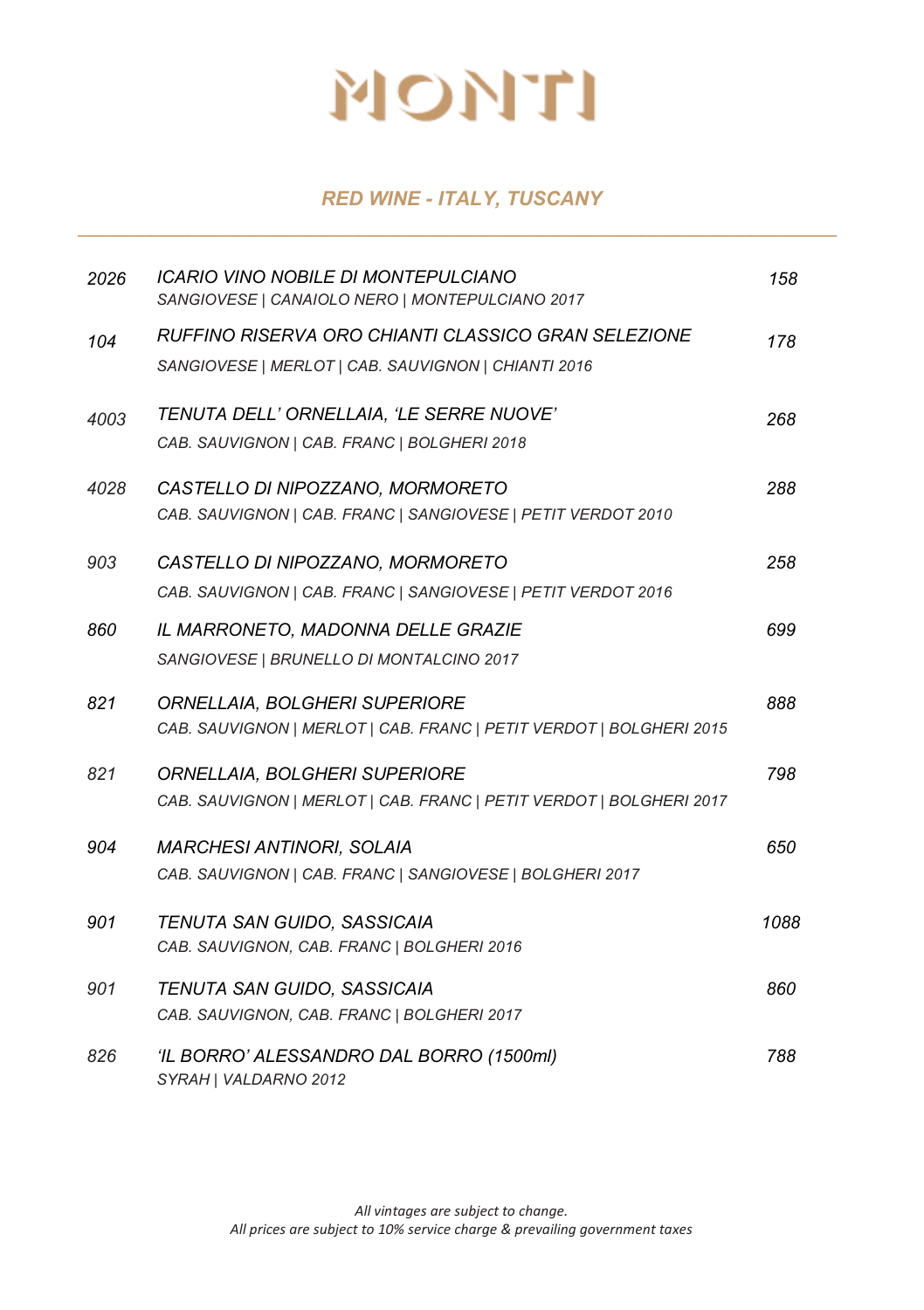#### *RED WINE - ITALY, TUSCANY \_\_\_\_\_\_\_\_\_\_\_\_\_\_\_\_\_\_\_\_\_\_\_\_\_\_\_\_\_\_\_\_\_\_\_\_\_\_\_\_\_\_\_\_\_\_\_\_\_\_\_\_\_\_\_\_\_\_\_\_\_\_*

| 2026 | ICARIO VINO NOBILE DI MONTEPULCIANO<br>SANGIOVESE   CANAIOLO NERO   MONTEPULCIANO 2017                     | 158  |
|------|------------------------------------------------------------------------------------------------------------|------|
| 104  | RUFFINO RISERVA ORO CHIANTI CLASSICO GRAN SELEZIONE<br>SANGIOVESE   MERLOT   CAB. SAUVIGNON   CHIANTI 2016 | 178  |
| 4003 | TENUTA DELL' ORNELLAIA, 'LE SERRE NUOVE'<br>CAB. SAUVIGNON   CAB. FRANC   BOLGHERI 2018                    | 268  |
| 4028 | CASTELLO DI NIPOZZANO, MORMORETO<br>CAB. SAUVIGNON   CAB. FRANC   SANGIOVESE   PETIT VERDOT 2010           | 288  |
| 903  | CASTELLO DI NIPOZZANO, MORMORETO<br>CAB. SAUVIGNON   CAB. FRANC   SANGIOVESE   PETIT VERDOT 2016           | 258  |
| 860  | IL MARRONETO, MADONNA DELLE GRAZIE<br>SANGIOVESE   BRUNELLO DI MONTALCINO 2017                             | 699  |
| 821  | ORNELLAIA, BOLGHERI SUPERIORE<br>CAB. SAUVIGNON   MERLOT   CAB. FRANC   PETIT VERDOT   BOLGHERI 2015       | 888  |
| 821  | ORNELLAIA, BOLGHERI SUPERIORE<br>CAB. SAUVIGNON   MERLOT   CAB. FRANC   PETIT VERDOT   BOLGHERI 2017       | 798  |
| 904  | <b>MARCHESI ANTINORI, SOLAIA</b><br>CAB. SAUVIGNON   CAB. FRANC   SANGIOVESE   BOLGHERI 2017               | 650  |
| 901  | TENUTA SAN GUIDO, SASSICAIA<br>CAB. SAUVIGNON, CAB. FRANC   BOLGHERI 2016                                  | 1088 |
| 901  | TENUTA SAN GUIDO, SASSICAIA<br>CAB. SAUVIGNON, CAB. FRANC   BOLGHERI 2017                                  | 860  |
| 826  | 'IL BORRO' ALESSANDRO DAL BORRO (1500ml)<br>SYRAH   VALDARNO 2012                                          | 788  |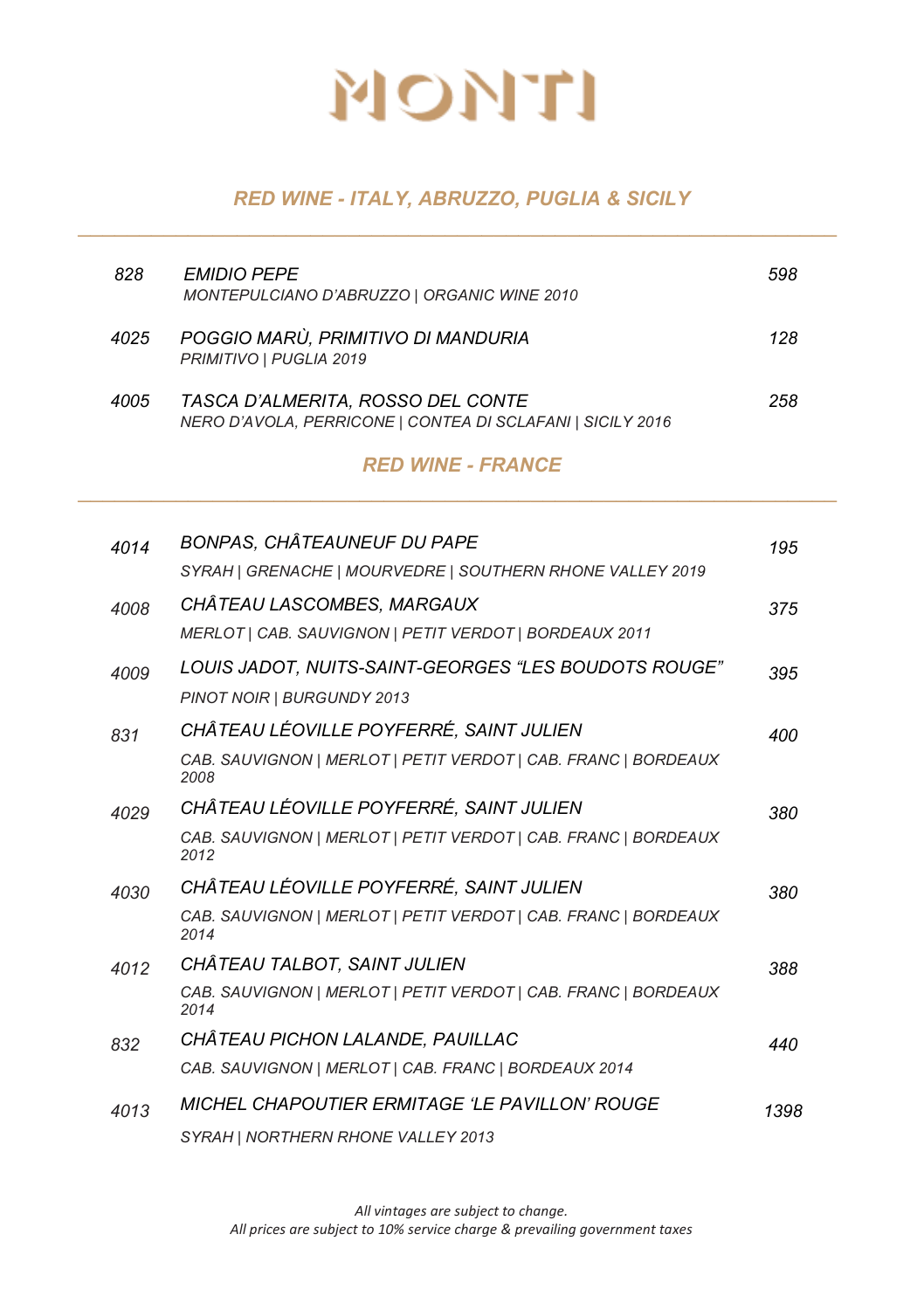#### *RED WINE - ITALY, ABRUZZO, PUGLIA & SICILY \_\_\_\_\_\_\_\_\_\_\_\_\_\_\_\_\_\_\_\_\_\_\_\_\_\_\_\_\_\_\_\_\_\_\_\_\_\_\_\_\_\_\_\_\_\_\_\_\_\_\_\_\_\_\_\_\_\_\_\_\_\_*

| 828  | <b>EMIDIO PEPE</b><br>MONTEPULCIANO D'ABRUZZO   ORGANIC WINE 2010                               | 598 |
|------|-------------------------------------------------------------------------------------------------|-----|
| 4025 | POGGIO MARÙ, PRIMITIVO DI MANDURIA<br>PRIMITIVO   PUGLIA 2019                                   | 128 |
| 4005 | TASCA D'ALMERITA, ROSSO DEL CONTE<br>NERO D'AVOLA, PERRICONE   CONTEA DI SCLAFANI   SICILY 2016 | 258 |

#### *RED WINE - FRANCE \_\_\_\_\_\_\_\_\_\_\_\_\_\_\_\_\_\_\_\_\_\_\_\_\_\_\_\_\_\_\_\_\_\_\_\_\_\_\_\_\_\_\_\_\_\_\_\_\_\_\_\_\_\_\_\_\_\_\_\_\_\_*

| 4014 | BONPAS, CHÂTEAUNEUF DU PAPE                                            | 195  |
|------|------------------------------------------------------------------------|------|
|      | SYRAH   GRENACHE   MOURVEDRE   SOUTHERN RHONE VALLEY 2019              |      |
| 4008 | CHÂTEAU LASCOMBES, MARGAUX                                             | 375  |
|      | MERLOT   CAB. SAUVIGNON   PETIT VERDOT   BORDEAUX 2011                 |      |
| 4009 | LOUIS JADOT, NUITS-SAINT-GEORGES "LES BOUDOTS ROUGE"                   | 395  |
|      | PINOT NOIR   BURGUNDY 2013                                             |      |
| 831  | CHÂTEAU LÉOVILLE POYFERRÉ, SAINT JULIEN                                | 400  |
|      | CAB. SAUVIGNON   MERLOT   PETIT VERDOT   CAB. FRANC   BORDEAUX<br>2008 |      |
| 4029 | CHÂTEAU LÉOVILLE POYFERRÉ, SAINT JULIEN                                | 380  |
|      | CAB. SAUVIGNON   MERLOT   PETIT VERDOT   CAB. FRANC   BORDEAUX<br>2012 |      |
| 4030 | CHÂTEAU LÉOVILLE POYFERRÉ, SAINT JULIEN                                | 380  |
|      | CAB. SAUVIGNON   MERLOT   PETIT VERDOT   CAB. FRANC   BORDEAUX<br>2014 |      |
| 4012 | CHÂTEAU TALBOT, SAINT JULIEN                                           | 388  |
|      | CAB. SAUVIGNON   MERLOT   PETIT VERDOT   CAB. FRANC   BORDEAUX<br>2014 |      |
| 832  | CHÂTEAU PICHON LALANDE, PAUILLAC                                       | 440  |
|      | CAB. SAUVIGNON   MERLOT   CAB. FRANC   BORDEAUX 2014                   |      |
| 4013 | <b>MICHEL CHAPOUTIER ERMITAGE 'LE PAVILLON' ROUGE</b>                  | 1398 |
|      | SYRAH   NORTHERN RHONE VALLEY 2013                                     |      |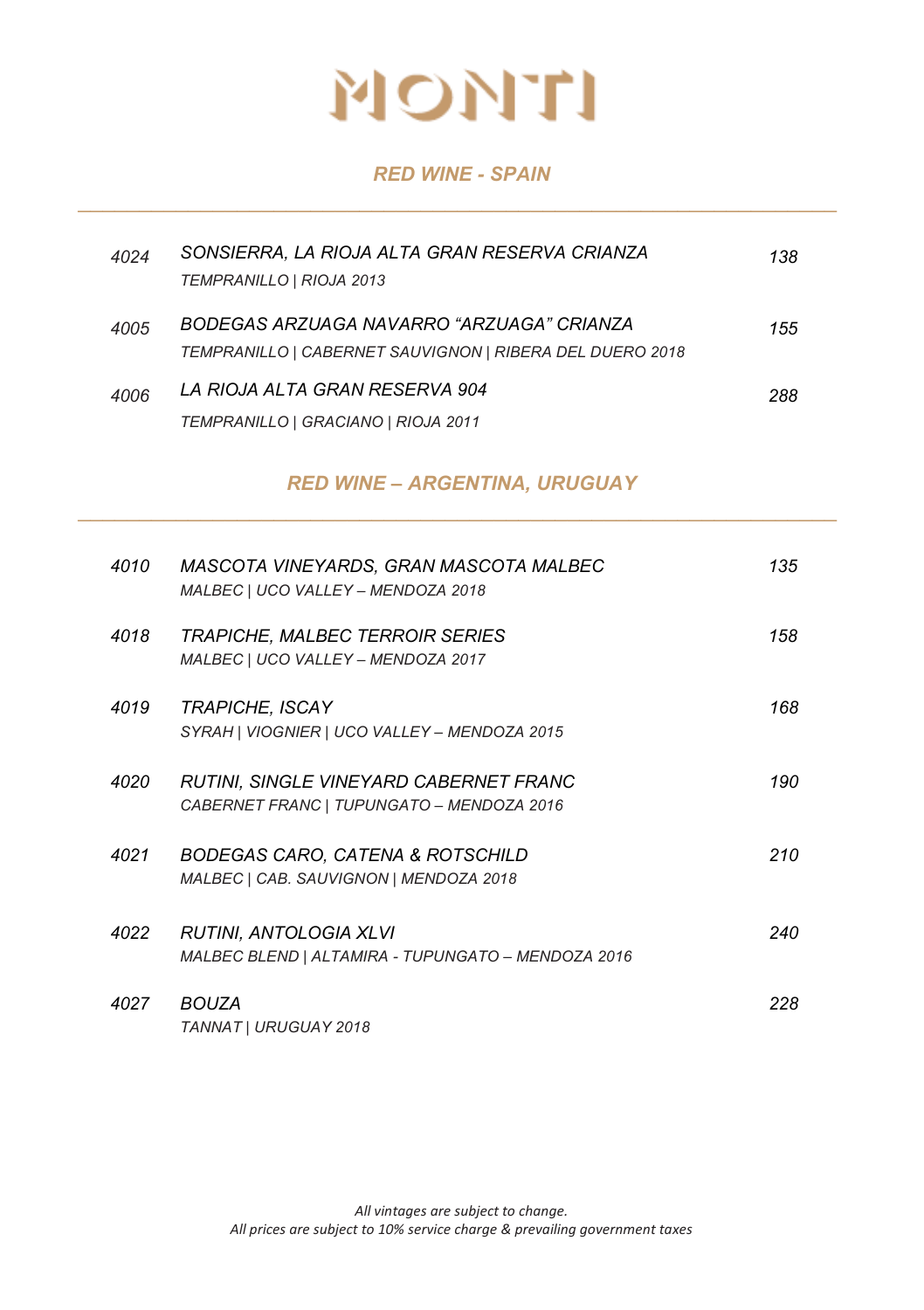#### *RED WINE - SPAIN \_\_\_\_\_\_\_\_\_\_\_\_\_\_\_\_\_\_\_\_\_\_\_\_\_\_\_\_\_\_\_\_\_\_\_\_\_\_\_\_\_\_\_\_\_\_\_\_\_\_\_\_\_\_\_\_\_\_\_\_\_\_*

| 4024 | SONSIERRA, LA RIOJA ALTA GRAN RESERVA CRIANZA<br>TEMPRANILLO   RIOJA 2013                             | 138 |
|------|-------------------------------------------------------------------------------------------------------|-----|
| 4005 | BODEGAS ARZUAGA NAVARRO "ARZUAGA" CRIANZA<br>TEMPRANILLO   CABERNET SAUVIGNON   RIBERA DEL DUERO 2018 | 155 |
| 4006 | LA RIOJA ALTA GRAN RESERVA 904<br>TEMPRANILLO   GRACIANO   RIOJA 2011                                 | 288 |

#### *RED WINE – ARGENTINA, URUGUAY \_\_\_\_\_\_\_\_\_\_\_\_\_\_\_\_\_\_\_\_\_\_\_\_\_\_\_\_\_\_\_\_\_\_\_\_\_\_\_\_\_\_\_\_\_\_\_\_\_\_\_\_\_\_\_\_\_\_\_\_\_\_*

| 4010 | MASCOTA VINEYARDS, GRAN MASCOTA MALBEC<br>MALBEC   UCO VALLEY - MENDOZA 2018          | 135 |
|------|---------------------------------------------------------------------------------------|-----|
| 4018 | <b>TRAPICHE, MALBEC TERROIR SERIES</b><br>MALBEC   UCO VALLEY - MENDOZA 2017          | 158 |
| 4019 | TRAPICHE, ISCAY<br>SYRAH   VIOGNIER   UCO VALLEY - MENDOZA 2015                       | 168 |
| 4020 | RUTINI, SINGLE VINEYARD CABERNET FRANC<br>CABERNET FRANC   TUPUNGATO - MENDOZA 2016   | 190 |
| 4021 | <b>BODEGAS CARO, CATENA &amp; ROTSCHILD</b><br>MALBEC   CAB. SAUVIGNON   MENDOZA 2018 | 210 |
| 4022 | RUTINI, ANTOLOGIA XLVI<br>MALBEC BLEND   ALTAMIRA - TUPUNGATO - MENDOZA 2016          | 240 |
| 4027 | <b>BOUZA</b><br>TANNAT   URUGUAY 2018                                                 | 228 |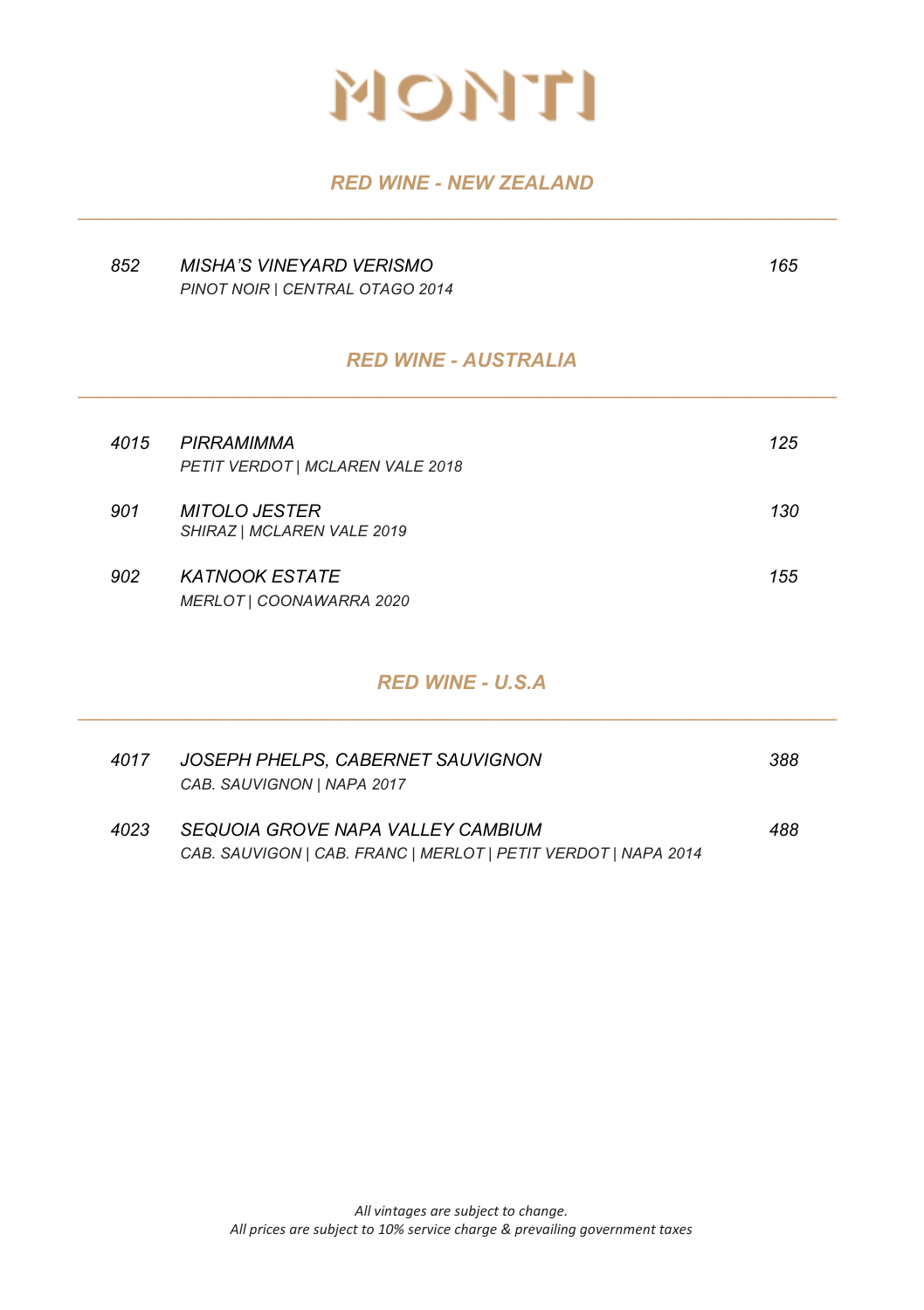

#### *RED WINE - NEW ZEALAND \_\_\_\_\_\_\_\_\_\_\_\_\_\_\_\_\_\_\_\_\_\_\_\_\_\_\_\_\_\_\_\_\_\_\_\_\_\_\_\_\_\_\_\_\_\_\_\_\_\_\_\_\_\_\_\_\_\_\_\_\_\_*

| 852  | <b>MISHA'S VINEYARD VERISMO</b><br>PINOT NOIR   CENTRAL OTAGO 2014 | 165 |
|------|--------------------------------------------------------------------|-----|
|      | <b>RED WINE - AUSTRALIA</b>                                        |     |
| 4015 | PIRRAMIMMA<br>PETIT VERDOT   MCLAREN VALE 2018                     | 125 |
| 901  | <b>MITOLO JESTER</b><br>SHIRAZ   MCLAREN VALE 2019                 | 130 |
| 902  | <b>KATNOOK ESTATE</b><br>MERLOT   COONAWARRA 2020                  | 155 |
|      | <b>RED WINE - U.S.A</b>                                            |     |

| 4017 | JOSEPH PHELPS. CABERNET SAUVIGNON<br>CAB. SAUVIGNON   NAPA 2017                                     | 388 |
|------|-----------------------------------------------------------------------------------------------------|-----|
| 4023 | SEQUOIA GROVE NAPA VALLEY CAMBIUM<br>CAB. SAUVIGON   CAB. FRANC   MERLOT   PETIT VERDOT   NAPA 2014 | 488 |